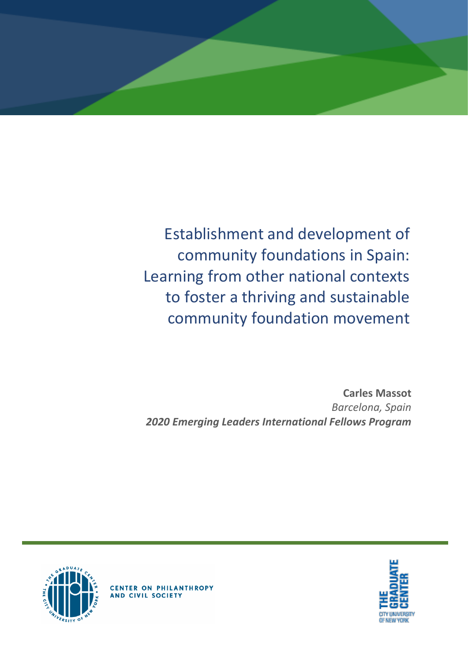

Establishment and development of community foundations in Spain: Learning from other national contexts to foster a thriving and sustainable community foundation movement

**Carles Massot** *Barcelona, Spain 2020 Emerging Leaders International Fellows Program*





**CENTER ON PHILANTHROPY**<br>AND CIVIL SOCIETY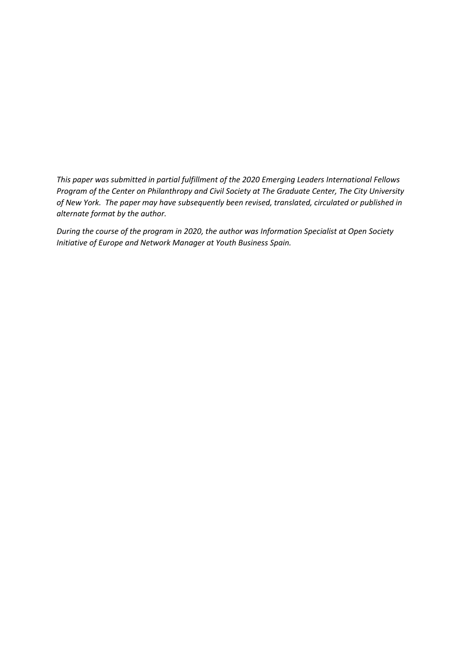*This paper was submitted in partial fulfillment of the 2020 Emerging Leaders International Fellows Program of the Center on Philanthropy and Civil Society at The Graduate Center, The City University of New York. The paper may have subsequently been revised, translated, circulated or published in alternate format by the author.*

*During the course of the program in 2020, the author was Information Specialist at Open Society Initiative of Europe and Network Manager at Youth Business Spain.*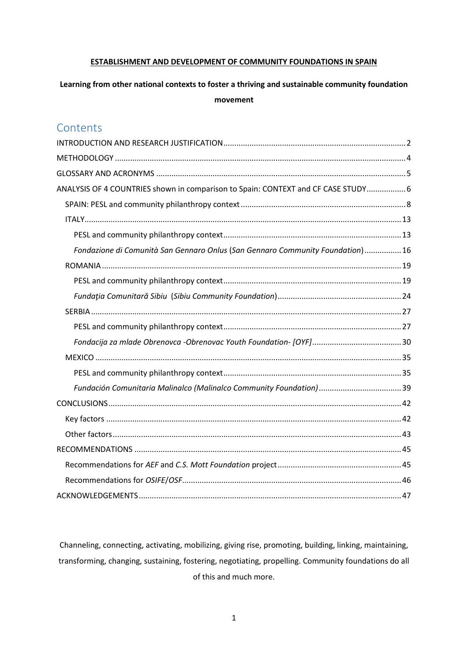#### **ESTABLISHMENT AND DEVELOPMENT OF COMMUNITY FOUNDATIONS IN SPAIN**

## **Learning from other national contexts to foster a thriving and sustainable community foundation movement**

## **Contents**

| ANALYSIS OF 4 COUNTRIES shown in comparison to Spain: CONTEXT and CF CASE STUDY 6 |  |
|-----------------------------------------------------------------------------------|--|
|                                                                                   |  |
|                                                                                   |  |
|                                                                                   |  |
| Fondazione di Comunità San Gennaro Onlus (San Gennaro Community Foundation)  16   |  |
|                                                                                   |  |
|                                                                                   |  |
|                                                                                   |  |
|                                                                                   |  |
|                                                                                   |  |
|                                                                                   |  |
|                                                                                   |  |
|                                                                                   |  |
|                                                                                   |  |
|                                                                                   |  |
|                                                                                   |  |
|                                                                                   |  |
|                                                                                   |  |
|                                                                                   |  |
|                                                                                   |  |
|                                                                                   |  |
|                                                                                   |  |

Channeling, connecting, activating, mobilizing, giving rise, promoting, building, linking, maintaining, transforming, changing, sustaining, fostering, negotiating, propelling. Community foundations do all of this and much more.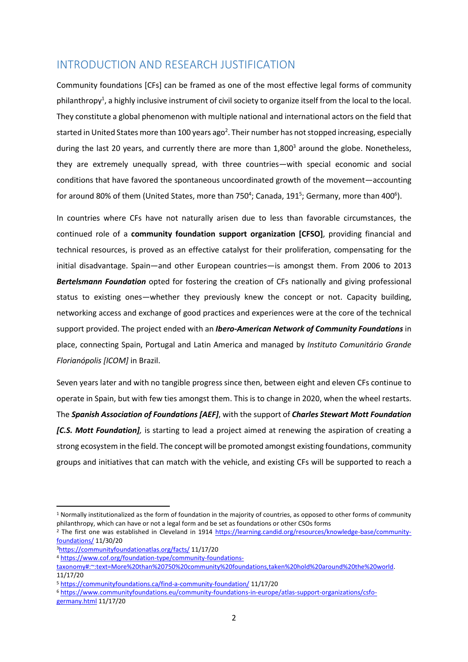## <span id="page-3-0"></span>INTRODUCTION AND RESEARCH JUSTIFICATION

Community foundations [CFs] can be framed as one of the most effective legal forms of community philanthropy<sup>1</sup>, a highly inclusive instrument of civil society to organize itself from the local to the local. They constitute a global phenomenon with multiple national and international actors on the field that started in United States more than 100 years ago<sup>2</sup>. Their number has not stopped increasing, especially during the last 20 years, and currently there are more than 1,800<sup>3</sup> around the globe. Nonetheless, they are extremely unequally spread, with three countries—with special economic and social conditions that have favored the spontaneous uncoordinated growth of the movement—accounting for around 80% of them (United States, more than 750<sup>4</sup>; Canada, 191<sup>5</sup>; Germany, more than 400<sup>6</sup>).

In countries where CFs have not naturally arisen due to less than favorable circumstances, the continued role of a **community foundation support organization [CFSO]**, providing financial and technical resources, is proved as an effective catalyst for their proliferation, compensating for the initial disadvantage. Spain—and other European countries—is amongst them. From 2006 to 2013 *Bertelsmann Foundation* opted for fostering the creation of CFs nationally and giving professional status to existing ones—whether they previously knew the concept or not. Capacity building, networking access and exchange of good practices and experiences were at the core of the technical support provided. The project ended with an *Ibero-American Network of Community Foundations* in place, connecting Spain, Portugal and Latin America and managed by *Instituto Comunitário Grande Florianópolis [ICOM]* in Brazil.

Seven years later and with no tangible progress since then, between eight and eleven CFs continue to operate in Spain, but with few ties amongst them. This is to change in 2020, when the wheel restarts. The *Spanish Association of Foundations [AEF]*, with the support of *Charles Stewart Mott Foundation [C.S. Mott Foundation],* is starting to lead a project aimed at renewing the aspiration of creating a strong ecosystem in the field. The concept will be promoted amongst existing foundations, community groups and initiatives that can match with the vehicle, and existing CFs will be supported to reach a

 $1$  Normally institutionalized as the form of foundation in the majority of countries, as opposed to other forms of community philanthropy, which can have or not a legal form and be set as foundations or other CSOs forms

<sup>2</sup> The first one was established in Cleveland in 1914 [https://learning.candid.org/resources/knowledge-base/community](https://learning.candid.org/resources/knowledge-base/community-foundations/)[foundations/](https://learning.candid.org/resources/knowledge-base/community-foundations/) 11/30/20

<sup>3</sup><https://communityfoundationatlas.org/facts/> 11/17/20

<sup>4</sup> [https://www.cof.org/foundation-type/community-foundations-](https://www.cof.org/foundation-type/community-foundations-taxonomy#:~:text=More%20than%20750%20community%20foundations,taken%20hold%20around%20the%20world)

[taxonomy#:~:text=More%20than%20750%20community%20foundations,taken%20hold%20around%20the%20world.](https://www.cof.org/foundation-type/community-foundations-taxonomy#:~:text=More%20than%20750%20community%20foundations,taken%20hold%20around%20the%20world) 11/17/20

<sup>5</sup> <https://communityfoundations.ca/find-a-community-foundation/> 11/17/20

<sup>6</sup> [https://www.communityfoundations.eu/community-foundations-in-europe/atlas-support-organizations/csfo](https://www.communityfoundations.eu/community-foundations-in-europe/atlas-support-organizations/csfo-germany.html)[germany.html](https://www.communityfoundations.eu/community-foundations-in-europe/atlas-support-organizations/csfo-germany.html) 11/17/20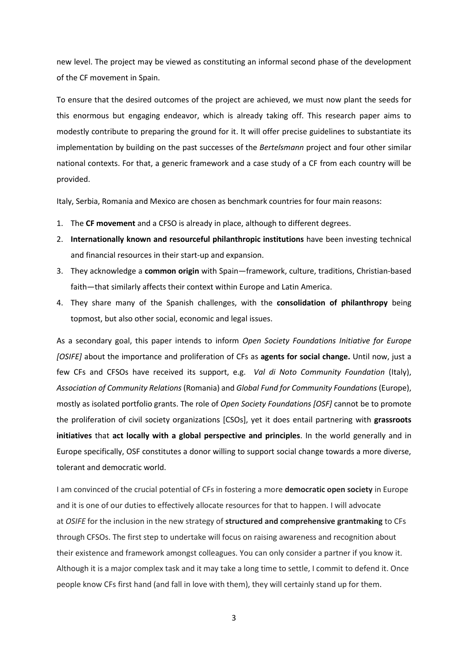new level. The project may be viewed as constituting an informal second phase of the development of the CF movement in Spain.

To ensure that the desired outcomes of the project are achieved, we must now plant the seeds for this enormous but engaging endeavor, which is already taking off. This research paper aims to modestly contribute to preparing the ground for it. It will offer precise guidelines to substantiate its implementation by building on the past successes of the *Bertelsmann* project and four other similar national contexts. For that, a generic framework and a case study of a CF from each country will be provided.

Italy, Serbia, Romania and Mexico are chosen as benchmark countries for four main reasons:

- 1. The **CF movement** and a CFSO is already in place, although to different degrees.
- 2. **Internationally known and resourceful philanthropic institutions** have been investing technical and financial resources in their start-up and expansion.
- 3. They acknowledge a **common origin** with Spain—framework, culture, traditions, Christian-based faith—that similarly affects their context within Europe and Latin America.
- 4. They share many of the Spanish challenges, with the **consolidation of philanthropy** being topmost, but also other social, economic and legal issues.

As a secondary goal, this paper intends to inform *Open Society Foundations Initiative for Europe [OSIFE]* about the importance and proliferation of CFs as **agents for social change.** Until now, just a few CFs and CFSOs have received its support, e.g. *Val di Noto Community Foundation* (Italy), *Association of Community Relations* (Romania) and *Global Fund for Community Foundations* (Europe), mostly as isolated portfolio grants. The role of *Open Society Foundations [OSF]* cannot be to promote the proliferation of civil society organizations [CSOs], yet it does entail partnering with **grassroots initiatives** that **act locally with a global perspective and principles**. In the world generally and in Europe specifically, OSF constitutes a donor willing to support social change towards a more diverse, tolerant and democratic world.

I am convinced of the crucial potential of CFs in fostering a more **democratic open society** in Europe and it is one of our duties to effectively allocate resources for that to happen. I will advocate at *OSIFE* for the inclusion in the new strategy of **structured and comprehensive grantmaking** to CFs through CFSOs. The first step to undertake will focus on raising awareness and recognition about their existence and framework amongst colleagues. You can only consider a partner if you know it. Although it is a major complex task and it may take a long time to settle, I commit to defend it. Once people know CFs first hand (and fall in love with them), they will certainly stand up for them.

3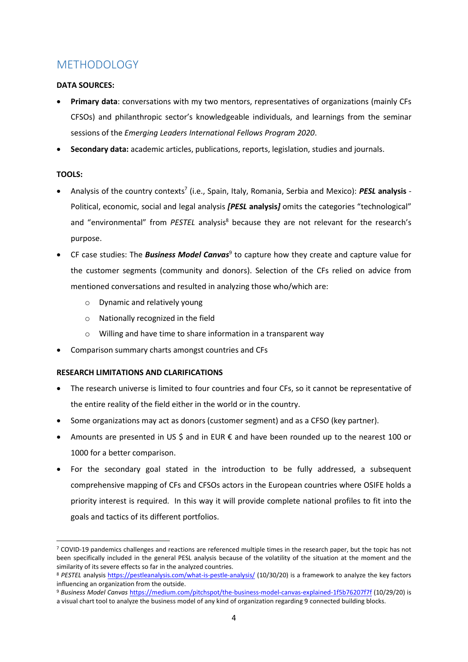# <span id="page-5-0"></span>METHODOLOGY

### **DATA SOURCES:**

- **Primary data**: conversations with my two mentors, representatives of organizations (mainly CFs CFSOs) and philanthropic sector's knowledgeable individuals, and learnings from the seminar sessions of the *Emerging Leaders International Fellows Program 2020*.
- **Secondary data:** academic articles, publications, reports, legislation, studies and journals.

### **TOOLS:**

- Analysis of the country contexts 7 (i.e., Spain, Italy, Romania, Serbia and Mexico): *PESL* **analysis** Political, economic, social and legal analysis *[PESL* **analysis***]* omits the categories "technological" and "environmental" from *PESTEL* analysis<sup>8</sup> because they are not relevant for the research's purpose.
- **•** CF case studies: The **Business Model Canvas**<sup>9</sup> to capture how they create and capture value for the customer segments (community and donors). Selection of the CFs relied on advice from mentioned conversations and resulted in analyzing those who/which are:
	- o Dynamic and relatively young
	- o Nationally recognized in the field
	- o Willing and have time to share information in a transparent way
- Comparison summary charts amongst countries and CFs

### **RESEARCH LIMITATIONS AND CLARIFICATIONS**

- The research universe is limited to four countries and four CFs, so it cannot be representative of the entire reality of the field either in the world or in the country.
- Some organizations may act as donors (customer segment) and as a CFSO (key partner).
- Amounts are presented in US \$ and in EUR € and have been rounded up to the nearest 100 or 1000 for a better comparison.
- For the secondary goal stated in the introduction to be fully addressed, a subsequent comprehensive mapping of CFs and CFSOs actors in the European countries where OSIFE holds a priority interest is required. In this way it will provide complete national profiles to fit into the goals and tactics of its different portfolios.

<sup>9</sup> *Business Model Canvas* <https://medium.com/pitchspot/the-business-model-canvas-explained-1f5b76207f7f> (10/29/20) is

 $7$  COVID-19 pandemics challenges and reactions are referenced multiple times in the research paper, but the topic has not been specifically included in the general PESL analysis because of the volatility of the situation at the moment and the similarity of its severe effects so far in the analyzed countries.

<sup>8</sup> PESTEL analysis<https://pestleanalysis.com/what-is-pestle-analysis/> (10/30/20) is a framework to analyze the key factors influencing an organization from the outside.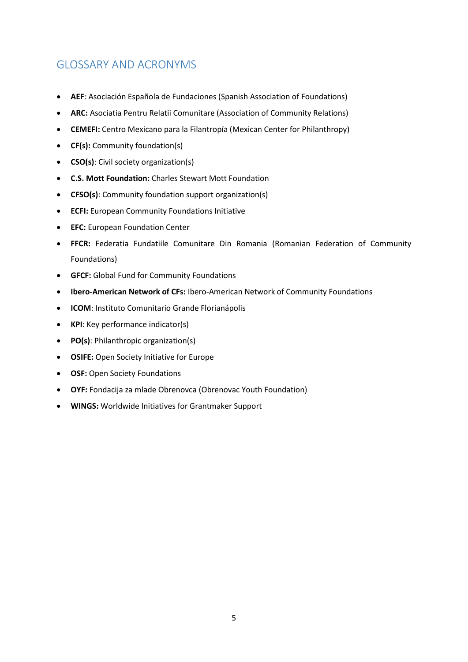# <span id="page-6-0"></span>GLOSSARY AND ACRONYMS

- **AEF**: Asociación Española de Fundaciones (Spanish Association of Foundations)
- **ARC:** Asociatia Pentru Relatii Comunitare (Association of Community Relations)
- **CEMEFI:** Centro Mexicano para la Filantropía (Mexican Center for Philanthropy)
- **CF(s):** Community foundation(s)
- **CSO(s)**: Civil society organization(s)
- **C.S. Mott Foundation:** Charles Stewart Mott Foundation
- **CFSO(s)**: Community foundation support organization(s)
- **ECFI:** European Community Foundations Initiative
- **EFC:** European Foundation Center
- **FFCR:** Federatia Fundatiile Comunitare Din Romania (Romanian Federation of Community Foundations)
- **GFCF:** Global Fund for Community Foundations
- **Ibero-American Network of CFs:** Ibero-American Network of Community Foundations
- **ICOM**: Instituto Comunitario Grande Florianápolis
- **KPI**: Key performance indicator(s)
- **PO(s)**: Philanthropic organization(s)
- **OSIFE:** Open Society Initiative for Europe
- **OSF:** Open Society Foundations
- **OYF:** Fondacija za mlade Obrenovca (Obrenovac Youth Foundation)
- **WINGS:** Worldwide Initiatives for Grantmaker Support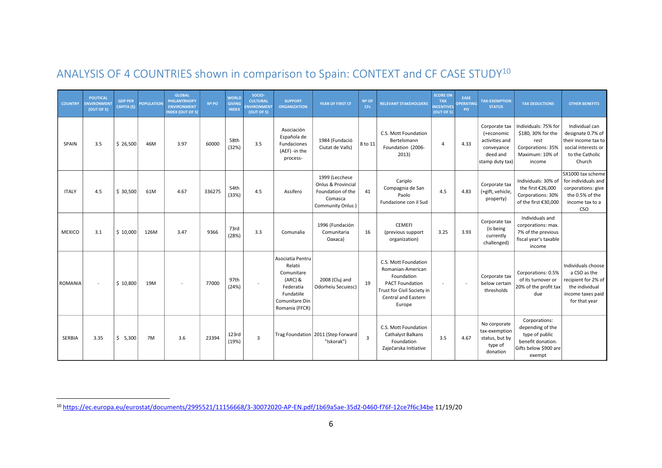| <b>COUNTRY</b> | <b>POLITICAL</b><br><b>ENVIRONMEN</b><br>(OUT OF 5) | <b>GDP PER</b><br>CAPITA (\$) | <b>POPULATION</b> | <b>GLOBAL</b><br><b>PHILANTRHOPY</b><br><b>ENVIRONMENT</b><br><b>INDEX (OUT OF 5)</b> | Nº PO  | <b>WORLD</b><br><b>GIVING</b><br><b>INDEX</b> | SOCIO-<br><b>CULTURAL</b><br><b>NVIRONMENT</b><br>(OUT OF 5) | <b>SUPPORT</b><br><b>ORGANIZATION</b>                                                                                 | YEAR OF FIRST CF                                                                          | Nº OF<br><b>CFs</b> | <b>RELEVANT STAKEHOLDERS</b>                                                                                                                            | <b>SCORE ON</b><br><b>TAX</b><br><b>NCENTIVES</b><br>(OUT OF 5) | EASE<br>PERATING<br>PO   | <b>TAX-EXEMPTION</b><br><b>STATUS</b>                                                      | <b>TAX DEDUCTIONS</b>                                                                                       | <b>OTHER BENEFITS</b>                                                                                              |
|----------------|-----------------------------------------------------|-------------------------------|-------------------|---------------------------------------------------------------------------------------|--------|-----------------------------------------------|--------------------------------------------------------------|-----------------------------------------------------------------------------------------------------------------------|-------------------------------------------------------------------------------------------|---------------------|---------------------------------------------------------------------------------------------------------------------------------------------------------|-----------------------------------------------------------------|--------------------------|--------------------------------------------------------------------------------------------|-------------------------------------------------------------------------------------------------------------|--------------------------------------------------------------------------------------------------------------------|
| SPAIN          | 3.5                                                 | \$26,500                      | 46M               | 3.97                                                                                  | 60000  | 58th<br>(32%)                                 | 3.5                                                          | Asociación<br>Española de<br>Fundaciones<br>(AEF) -in the<br>process-                                                 | 1984 (Fundació<br>Ciutat de Valls)                                                        | 8 to 11             | C.S. Mott Foundation<br>Bertelsmann<br>Foundation (2006-<br>2013)                                                                                       | $\overline{4}$                                                  | 4.33                     | Corporate tax<br>(+economic<br>activities and<br>conveyance<br>deed and<br>stamp duty tax) | Individuals: 75% for<br>\$180, 30% for the<br>rest<br>Corporations: 35%<br>Maximum: 10% of<br>income        | Individual can<br>designate 0.7% of<br>their income tax to<br>social interests or<br>to the Catholic<br>Church     |
| <b>ITALY</b>   | 4.5                                                 | \$30,500                      | 61M               | 4.67                                                                                  | 336275 | 54th<br>(33%)                                 | 4.5                                                          | Assifero                                                                                                              | 1999 (Lecchese<br>Onlus & Provincial<br>Foundation of the<br>Comasca<br>Community Onlus ) | 41                  | Cariplo<br>Compagnia de San<br>Paolo<br>Fundazione con il Sud                                                                                           | 4.5                                                             | 4.83                     | Corporate tax<br>(+gift, vehicle,<br>property)                                             | Individuals: 30% of<br>the first €26,000<br>Corporations: 30%<br>of the first €30,000                       | 5X1000 tax scheme<br>for individuals and<br>corporations: give<br>the 0.5% of the<br>income tax to a<br><b>CSO</b> |
| <b>MEXICO</b>  | 3.1                                                 | \$10,000                      | 126M              | 3.47                                                                                  | 9366   | 73rd<br>(28%)                                 | 3.3                                                          | Comunalia                                                                                                             | 1996 (Fundación<br>Comunitaria<br>Oaxaca)                                                 | 16                  | <b>CEMEFI</b><br>(previous support<br>organization)                                                                                                     | 3.25                                                            | 3.93                     | Corporate tax<br>(is being<br>currently<br>challenged)                                     | Individuals and<br>corporations: max.<br>7% of the previous<br>fiscal year's taxable<br>income              |                                                                                                                    |
| <b>ROMANIA</b> |                                                     | \$10,800                      | 19M               |                                                                                       | 77000  | 97th<br>(24%)                                 |                                                              | Asociatia Pentru<br>Relatii<br>Comunitare<br>$(ARC)$ &<br>Federatia<br>Fundatiile<br>Comunitare Din<br>Romania (FFCR) | 2008 (Cluj and<br>Odorheiu Secuiesc)                                                      | 19                  | C.S. Mott Foundation<br>Romanian-American<br>Foundation<br><b>PACT Foundation</b><br>Trust for Civil Society in<br><b>Central and Eastern</b><br>Europe |                                                                 | $\overline{\phantom{a}}$ | Corporate tax<br>below certain<br>thresholds                                               | Corporations: 0.5%<br>of its turnover or<br>20% of the profit tax<br>due                                    | Individuals choose<br>a CSO as the<br>recipient for 2% of<br>the individual<br>income taxes paid<br>for that year  |
| <b>SERBIA</b>  | 3.35                                                | \$5,300                       | 7M                | 3.6                                                                                   | 23394  | 123rd<br>(19%)                                | $\overline{3}$                                               |                                                                                                                       | Trag Foundation 2011 (Step Forward<br>"Iskorak")                                          | $\overline{3}$      | C.S. Mott Foundation<br>Cathalyst Balkans<br>Foundation<br>Zaječarska Initiative                                                                        | 3.5                                                             | 4.67                     | No corporate<br>tax-exemption<br>status, but by<br>type of<br>donation                     | Corporations:<br>depending of the<br>type of public<br>benefit donation.<br>Gifts below \$900 are<br>exempt |                                                                                                                    |

# ANALYSIS OF 4 COUNTRIES shown in comparison to Spain: CONTEXT and CF CASE STUDY<sup>10</sup>

<span id="page-7-0"></span><sup>10</sup> <https://ec.europa.eu/eurostat/documents/2995521/11156668/3-30072020-AP-EN.pdf/1b69a5ae-35d2-0460-f76f-12ce7f6c34be> 11/19/20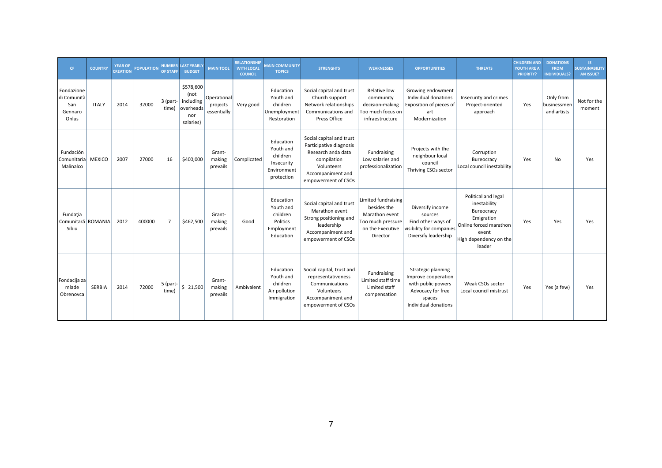| CF                                                   | <b>COUNTRY</b> | <b>YEAR OF</b><br><b>CREATION</b> | <b>POPULATION</b> | <b>IUMBER</b><br><b>OF STAFF</b> | <b>LAST YEARLY</b><br><b>BUDGET</b>                             | <b>MAIN TOOL</b>                       | <b>RELATIONSHIP</b><br><b>WITH LOCAL</b><br><b>COUNCIL</b> | <b>MAIN COMMUNITY</b><br><b>TOPICS</b>                                        | <b>STRENGHTS</b>                                                                                                                                   | <b>WEAKNESSES</b>                                                                                                | <b>OPPORTUNITIES</b>                                                                                                   | <b>THREATS</b>                                                                                                                         | <b>CHILDREN AND</b><br><b>YOUTH ARE A</b><br><b>PRIORITY?</b> | <b>DONATIONS</b><br><b>FROM</b><br><b>INDIVIDUALS?</b> | IS.<br><b>SUSTAINABILITY</b><br>AN ISSUE? |
|------------------------------------------------------|----------------|-----------------------------------|-------------------|----------------------------------|-----------------------------------------------------------------|----------------------------------------|------------------------------------------------------------|-------------------------------------------------------------------------------|----------------------------------------------------------------------------------------------------------------------------------------------------|------------------------------------------------------------------------------------------------------------------|------------------------------------------------------------------------------------------------------------------------|----------------------------------------------------------------------------------------------------------------------------------------|---------------------------------------------------------------|--------------------------------------------------------|-------------------------------------------|
| Fondazione<br>di Comunità<br>San<br>Gennaro<br>Onlus | <b>ITALY</b>   | 2014                              | 32000             | $3$ (part-<br>time)              | \$578,600<br>(not<br>including<br>overheads<br>nor<br>salaries) | Operational<br>projects<br>essentially | Very good                                                  | Education<br>Youth and<br>children<br>Unemployment<br>Restoration             | Social capital and trust<br>Church support<br>Network relationships<br>Communications and<br>Press Office                                          | Relative low<br>community<br>decision-making<br>Too much focus on<br>infraestructure                             | Growing endowment<br>Individual donations<br>Exposition of pieces of<br>art<br>Modernization                           | Insecurity and crimes<br>Project-oriented<br>approach                                                                                  | Yes                                                           | Only from<br>businessmen<br>and artists                | Not for the<br>moment                     |
| Fundación<br>Comunitaria<br>Malinalco                | <b>MEXICO</b>  | 2007                              | 27000             | 16                               | \$400,000                                                       | Grant-<br>making<br>prevails           | Complicated                                                | Education<br>Youth and<br>children<br>Insecurity<br>Environment<br>protection | Social capital and trust<br>Participative diagnosis<br>Research anda data<br>compilation<br>Volunteers<br>Accompaniment and<br>empowerment of CSOs | Fundraising<br>Low salaries and<br>professionalization                                                           | Projects with the<br>neighbour local<br>council<br>Thriving CSOs sector                                                | Corruption<br>Bureocracy<br>Local council inestability                                                                                 | Yes                                                           | <b>No</b>                                              | Yes                                       |
| Fundația<br>Comunitară ROMANIA<br>Sibiu              |                | 2012                              | 400000            | $\overline{7}$                   | \$462,500                                                       | Grant-<br>making<br>prevails           | Good                                                       | Education<br>Youth and<br>children<br>Politics<br>Employment<br>Education     | Social capital and trust<br>Marathon event<br>Strong positioning and<br>leadership<br>Accompaniment and<br>empowerment of CSOs                     | Limited fundraising<br>besides the<br>Marathon event<br>Too much pressure<br>on the Executive<br><b>Director</b> | Diversify income<br>sources<br>Find other ways of<br>visibility for companies<br>Diversify leadership                  | Political and legal<br>inestability<br>Bureocracy<br>Emigration<br>Online forced marathon<br>event<br>High dependency on the<br>leader | Yes                                                           | Yes                                                    | Yes                                       |
| Fondacija za<br>mlade<br>Obrenovca                   | <b>SERBIA</b>  | 2014                              | 72000             | 5 (part-<br>time)                | \$21,500                                                        | Grant-<br>making<br>prevails           | Ambivalent                                                 | Education<br>Youth and<br>children<br>Air pollution<br>Immigration            | Social capital, trust and<br>representativeness<br>Communications<br>Volunteers<br>Accompaniment and<br>empowerment of CSOs                        | Fundraising<br>Limited staff time<br>Limited staff<br>compensation                                               | Strategic planning<br>Improve cooperation<br>with public powers<br>Advocacy for free<br>spaces<br>Individual donations | Weak CSOs sector<br>Local council mistrust                                                                                             | Yes                                                           | Yes (a few)                                            | Yes                                       |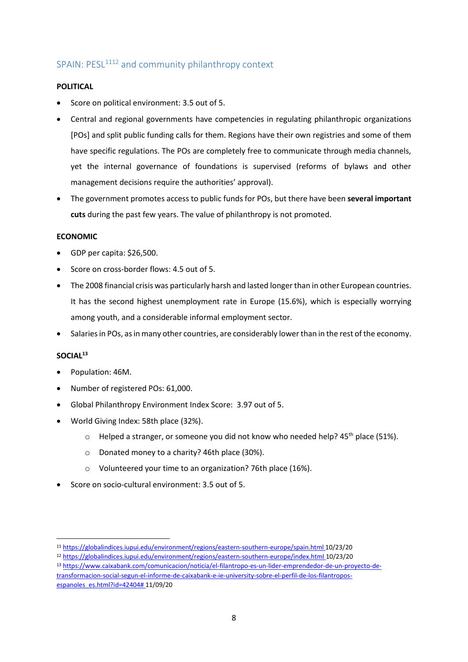## <span id="page-9-0"></span>SPAIN: PESL<sup>1112</sup> and community philanthropy context

### **POLITICAL**

- Score on political environment: 3.5 out of 5.
- Central and regional governments have competencies in regulating philanthropic organizations [POs] and split public funding calls for them. Regions have their own registries and some of them have specific regulations. The POs are completely free to communicate through media channels, yet the internal governance of foundations is supervised (reforms of bylaws and other management decisions require the authorities' approval).
- The government promotes access to public funds for POs, but there have been **several important cuts** during the past few years. The value of philanthropy is not promoted.

### **ECONOMIC**

- GDP per capita: \$26,500.
- Score on cross-border flows: 4.5 out of 5.
- The 2008 financial crisis was particularly harsh and lasted longer than in other European countries. It has the second highest unemployment rate in Europe (15.6%), which is especially worrying among youth, and a considerable informal employment sector.
- Salaries in POs, as in many other countries, are considerably lower than in the rest of the economy.

### **SOCIAL<sup>13</sup>**

- Population: 46M.
- Number of registered POs: 61,000.
- Global Philanthropy Environment Index Score: 3.97 out of 5.
- World Giving Index: 58th place (32%).
	- $\circ$  Helped a stranger, or someone you did not know who needed help? 45<sup>th</sup> place (51%).
	- o Donated money to a charity? 46th place (30%).
	- o Volunteered your time to an organization? 76th place (16%).
- Score on socio-cultural environment: 3.5 out of 5.

<sup>11</sup> <https://globalindices.iupui.edu/environment/regions/eastern-southern-europe/spain.html> 10/23/20

<sup>12</sup> <https://globalindices.iupui.edu/environment/regions/eastern-southern-europe/index.html> 10/23/20

<sup>13</sup> [https://www.caixabank.com/comunicacion/noticia/el-filantropo-es-un-lider-emprendedor-de-un-proyecto-de-](https://www.caixabank.com/comunicacion/noticia/el-filantropo-es-un-lider-emprendedor-de-un-proyecto-de-transformacion-social-segun-el-informe-de-caixabank-e-ie-university-sobre-el-perfil-de-los-filantropos-espanoles_es.html?id=42404)

[transformacion-social-segun-el-informe-de-caixabank-e-ie-university-sobre-el-perfil-de-los-filantropos](https://www.caixabank.com/comunicacion/noticia/el-filantropo-es-un-lider-emprendedor-de-un-proyecto-de-transformacion-social-segun-el-informe-de-caixabank-e-ie-university-sobre-el-perfil-de-los-filantropos-espanoles_es.html?id=42404)[espanoles\\_es.html?id=42404#](https://www.caixabank.com/comunicacion/noticia/el-filantropo-es-un-lider-emprendedor-de-un-proyecto-de-transformacion-social-segun-el-informe-de-caixabank-e-ie-university-sobre-el-perfil-de-los-filantropos-espanoles_es.html?id=42404) 11/09/20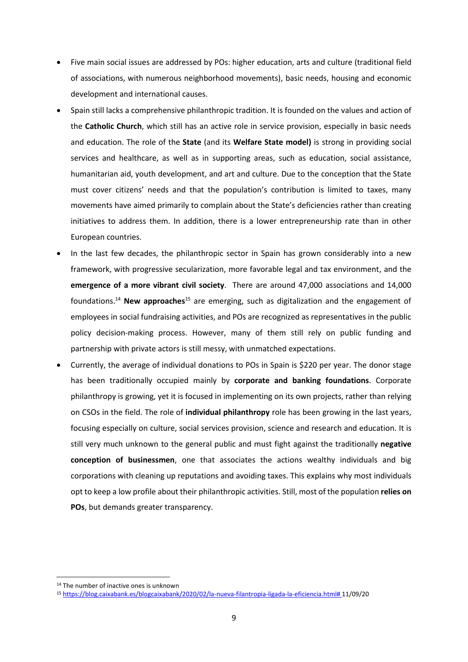- Five main social issues are addressed by POs: higher education, arts and culture (traditional field of associations, with numerous neighborhood movements), basic needs, housing and economic development and international causes.
- Spain still lacks a comprehensive philanthropic tradition. It is founded on the values and action of the **Catholic Church**, which still has an active role in service provision, especially in basic needs and education. The role of the **State** (and its **Welfare State model)** is strong in providing social services and healthcare, as well as in supporting areas, such as education, social assistance, humanitarian aid, youth development, and art and culture. Due to the conception that the State must cover citizens' needs and that the population's contribution is limited to taxes, many movements have aimed primarily to complain about the State's deficiencies rather than creating initiatives to address them. In addition, there is a lower entrepreneurship rate than in other European countries.
- In the last few decades, the philanthropic sector in Spain has grown considerably into a new framework, with progressive secularization, more favorable legal and tax environment, and the **emergence of a more vibrant civil society**. There are around 47,000 associations and 14,000 foundations. <sup>14</sup> **New approaches**<sup>15</sup> are emerging, such as digitalization and the engagement of employees in social fundraising activities, and POs are recognized as representatives in the public policy decision-making process. However, many of them still rely on public funding and partnership with private actors is still messy, with unmatched expectations.
- Currently, the average of individual donations to POs in Spain is \$220 per year. The donor stage has been traditionally occupied mainly by **corporate and banking foundations**. Corporate philanthropy is growing, yet it is focused in implementing on its own projects, rather than relying on CSOs in the field. The role of **individual philanthropy** role has been growing in the last years, focusing especially on culture, social services provision, science and research and education. It is still very much unknown to the general public and must fight against the traditionally **negative conception of businessmen**, one that associates the actions wealthy individuals and big corporations with cleaning up reputations and avoiding taxes. This explains why most individuals opt to keep a low profile about their philanthropic activities. Still, most of the population **relies on POs**, but demands greater transparency.

<sup>14</sup> The number of inactive ones is unknown

<sup>15</sup> [https://blog.caixabank.es/blogcaixabank/2020/02/la-nueva-filantropia-ligada-la-eficiencia.html#](https://blog.caixabank.es/blogcaixabank/2020/02/la-nueva-filantropia-ligada-la-eficiencia.html) 11/09/20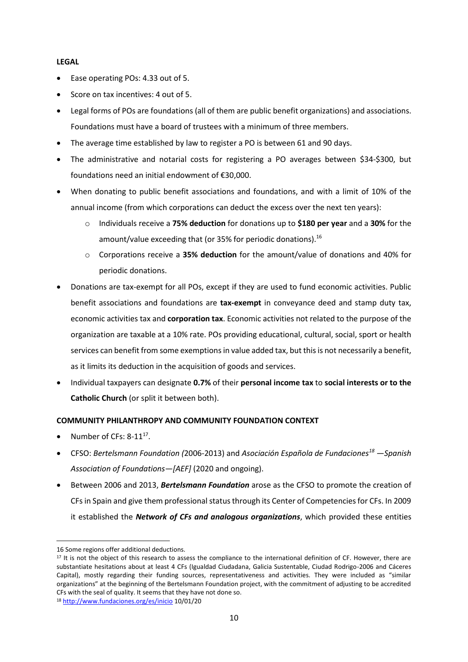#### **LEGAL**

- Ease operating POs: 4.33 out of 5.
- Score on tax incentives: 4 out of 5.
- Legal forms of POs are foundations (all of them are public benefit organizations) and associations. Foundations must have a board of trustees with a minimum of three members.
- The average time established by law to register a PO is between 61 and 90 days.
- The administrative and notarial costs for registering a PO averages between \$34-\$300, but foundations need an initial endowment of €30,000.
- When donating to public benefit associations and foundations, and with a limit of 10% of the annual income (from which corporations can deduct the excess over the next ten years):
	- o Individuals receive a **75% deduction** for donations up to **\$180 per year** and a **30%** for the amount/value exceeding that (or 35% for periodic donations).<sup>16</sup>
	- o Corporations receive a **35% deduction** for the amount/value of donations and 40% for periodic donations.
- Donations are tax-exempt for all POs, except if they are used to fund economic activities. Public benefit associations and foundations are **tax-exempt** in conveyance deed and stamp duty tax, economic activities tax and **corporation tax**. Economic activities not related to the purpose of the organization are taxable at a 10% rate. POs providing educational, cultural, social, sport or health services can benefit from some exemptions in value added tax, but this is not necessarily a benefit, as it limits its deduction in the acquisition of goods and services.
- Individual taxpayers can designate **0.7%** of their **personal income tax** to **social interests or to the Catholic Church** (or split it between both).

### **COMMUNITY PHILANTHROPY AND COMMUNITY FOUNDATION CONTEXT**

- Number of CFs:  $8-11^{17}$ .
- CFSO: *Bertelsmann Foundation (*2006-2013) and *Asociación Española de Fundaciones<sup>18</sup> —Spanish Association of Foundations—[AEF]* (2020 and ongoing).
- Between 2006 and 2013, *Bertelsmann Foundation* arose as the CFSO to promote the creation of CFs in Spain and give them professional status through its Center of Competencies for CFs. In 2009 it established the *Network of CFs and analogous organizations*, which provided these entities

<sup>16</sup> Some regions offer additional deductions.

<sup>&</sup>lt;sup>17</sup> It is not the object of this research to assess the compliance to the international definition of CF. However, there are substantiate hesitations about at least 4 CFs (Igualdad Ciudadana, Galicia Sustentable, Ciudad Rodrigo-2006 and Cáceres Capital), mostly regarding their funding sources, representativeness and activities. They were included as "similar organizations" at the beginning of the Bertelsmann Foundation project, with the commitment of adjusting to be accredited CFs with the seal of quality. It seems that they have not done so.

<sup>18</sup> <http://www.fundaciones.org/es/inicio> 10/01/20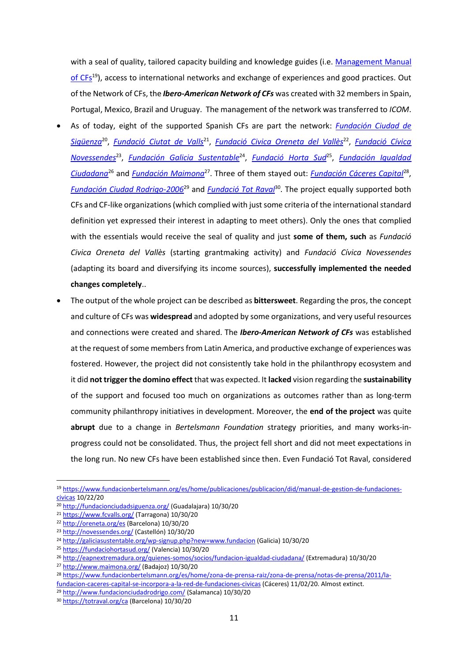with a seal of quality, tailored capacity building and knowledge guides (i.e. [Management Manual](https://www.fundacionbertelsmann.org/es/home/publicaciones/publicacion/did/manual-de-gestion-de-fundaciones-civicas)  [of CFs](https://www.fundacionbertelsmann.org/es/home/publicaciones/publicacion/did/manual-de-gestion-de-fundaciones-civicas)<sup>19</sup>), access to international networks and exchange of experiences and good practices. Out of the Network of CFs, the *Ibero-American Network of CFs* was created with 32 members in Spain, Portugal, Mexico, Brazil and Uruguay. The management of the network was transferred to *ICOM*.

- As of today, eight of the supported Spanish CFs are part the network: *[Fundación Ciudad de](http://fundacionciudadsiguenza.org/)  [Sigüenza](http://fundacionciudadsiguenza.org/)*<sup>20</sup> , *[Fundació](http://www.fcvalls.org/) [Ciutat](http://www.fcvalls.org/) [de Valls](http://www.fcvalls.org/)*<sup>21</sup> , *[Fundació](http://oreneta.org/es) [Civica](http://oreneta.org/es) [Oreneta](http://oreneta.org/es) [del Vallès](http://oreneta.org/es)*<sup>22</sup> , *[Fundació](http://www.novessendes.org/) [Cívica](http://www.novessendes.org/)  [Novessendes](http://www.novessendes.org/)*<sup>23</sup> , *[Fundación Galicia Sustentable](http://galiciasustentable.org/wp-signup.php?new=www.fundacion)*<sup>24</sup> , *[Fundació](https://fundaciohortasud.org/) [Horta Sud](https://fundaciohortasud.org/)*<sup>25</sup> , *[Fundación](http://www.fic07.eu/) [Igualdad](http://eapnextremadura.org/quienes-somos/socios/fundacion-igualdad-ciudadana/)  [Ciudadana](http://eapnextremadura.org/quienes-somos/socios/fundacion-igualdad-ciudadana/)*<sup>26</sup> and *[Fundación Maimona](http://www.maimona.org/)*<sup>27</sup> . Three of them stayed out: *[Fundación Cáceres Capital](https://www.europapress.es/epsocial/responsables/noticia-fundacion-bertelsmann-incorpora-fundacion-caceres-capital-red-fundaciones-civicas-20110303175403.html)*<sup>28</sup> , *[Fundación Ciudad Rodrigo-2006](http://www.fundacionciudadrodrigo.com/)*<sup>29</sup> and *[Fundació](https://www.totraval.org/ca) [Tot](https://www.totraval.org/ca) [Raval](https://www.totraval.org/ca)*<sup>30</sup> . The project equally supported both CFs and CF-like organizations (which complied with just some criteria of the international standard definition yet expressed their interest in adapting to meet others). Only the ones that complied with the essentials would receive the seal of quality and just **some of them, such** as *Fundació Civica Oreneta del Vallès* (starting grantmaking activity) and *Fundació Cívica Novessendes* (adapting its board and diversifying its income sources), **successfully implemented the needed changes completely**..
- The output of the whole project can be described as **bittersweet**. Regarding the pros, the concept and culture of CFs was **widespread** and adopted by some organizations, and very useful resources and connections were created and shared. The *Ibero-American Network of CFs* was established at the request of some members from Latin America, and productive exchange of experiences was fostered. However, the project did not consistently take hold in the philanthropy ecosystem and it did **not trigger the domino effect** that was expected. It **lacked** vision regarding the **sustainability**  of the support and focused too much on organizations as outcomes rather than as long-term community philanthropy initiatives in development. Moreover, the **end of the project** was quite **abrupt** due to a change in *Bertelsmann Foundation* strategy priorities, and many works-inprogress could not be consolidated. Thus, the project fell short and did not meet expectations in the long run. No new CFs have been established since then. Even Fundació Tot Raval, considered

<sup>19</sup> [https://www.fundacionbertelsmann.org/es/home/publicaciones/publicacion/did/manual-de-gestion-de-fundaciones](https://www.fundacionbertelsmann.org/es/home/publicaciones/publicacion/did/manual-de-gestion-de-fundaciones-civicas)[civicas](https://www.fundacionbertelsmann.org/es/home/publicaciones/publicacion/did/manual-de-gestion-de-fundaciones-civicas) 10/22/20

<sup>20</sup> <http://fundacionciudadsiguenza.org/> (Guadalajara) 10/30/20

<sup>21</sup> <https://www.fcvalls.org/> (Tarragona) 10/30/20

<sup>22</sup> <http://oreneta.org/es> (Barcelona) 10/30/20

<sup>23</sup> <http://novessendes.org/> (Castellón) 10/30/20

<sup>24</sup> <http://galiciasustentable.org/wp-signup.php?new=www.fundacion> (Galicia) 10/30/20

<sup>25</sup> <https://fundaciohortasud.org/> (Valencia) 10/30/20

<sup>26</sup> <http://eapnextremadura.org/quienes-somos/socios/fundacion-igualdad-ciudadana/> (Extremadura) 10/30/20

<sup>27</sup> <http://www.maimona.org/> (Badajoz) 10/30/20

<sup>28</sup> [https://www.fundacionbertelsmann.org/es/home/zona-de-prensa-raiz/zona-de-prensa/notas-de-prensa/2011/la](https://www.fundacionbertelsmann.org/es/home/zona-de-prensa-raiz/zona-de-prensa/notas-de-prensa/2011/la-fundacion-caceres-capital-se-incorpora-a-la-red-de-fundaciones-civicas)[fundacion-caceres-capital-se-incorpora-a-la-red-de-fundaciones-civicas](https://www.fundacionbertelsmann.org/es/home/zona-de-prensa-raiz/zona-de-prensa/notas-de-prensa/2011/la-fundacion-caceres-capital-se-incorpora-a-la-red-de-fundaciones-civicas) (Cáceres) 11/02/20. Almost extinct.

<sup>29</sup> <http://www.fundacionciudadrodrigo.com/> (Salamanca) 10/30/20

<sup>30</sup> <https://totraval.org/ca> (Barcelona) 10/30/20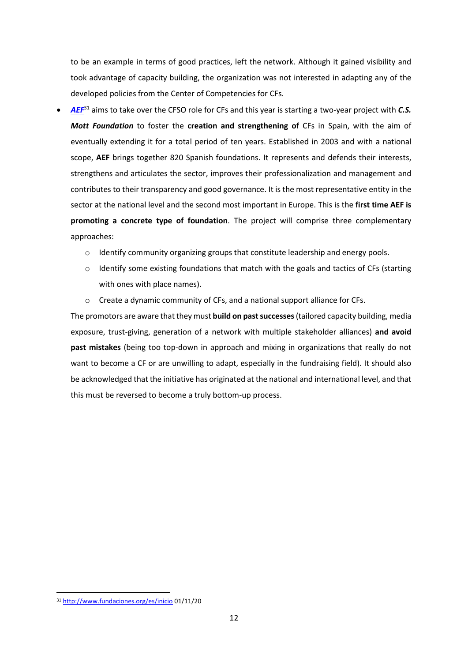to be an example in terms of good practices, left the network. Although it gained visibility and took advantage of capacity building, the organization was not interested in adapting any of the developed policies from the Center of Competencies for CFs.

- *[AEF](http://www.fundaciones.org/es/inicio)*<sup>31</sup> aims to take over the CFSO role for CFs and this year is starting a two-year project with *C.S. Mott Foundation* to foster the **creation and strengthening of** CFs in Spain, with the aim of eventually extending it for a total period of ten years. Established in 2003 and with a national scope, **AEF** brings together 820 Spanish foundations. It represents and defends their interests, strengthens and articulates the sector, improves their professionalization and management and contributes to their transparency and good governance. It is the most representative entity in the sector at the national level and the second most important in Europe. This is the **first time AEF is promoting a concrete type of foundation**. The project will comprise three complementary approaches:
	- $\circ$  Identify community organizing groups that constitute leadership and energy pools.
	- o Identify some existing foundations that match with the goals and tactics of CFs (starting with ones with place names).
	- o Create a dynamic community of CFs, and a national support alliance for CFs.

The promotors are aware that they must **build on past successes**(tailored capacity building, media exposure, trust-giving, generation of a network with multiple stakeholder alliances) **and avoid past mistakes** (being too top-down in approach and mixing in organizations that really do not want to become a CF or are unwilling to adapt, especially in the fundraising field). It should also be acknowledged that the initiative has originated at the national and international level, and that this must be reversed to become a truly bottom-up process.

<sup>31</sup> <http://www.fundaciones.org/es/inicio> 01/11/20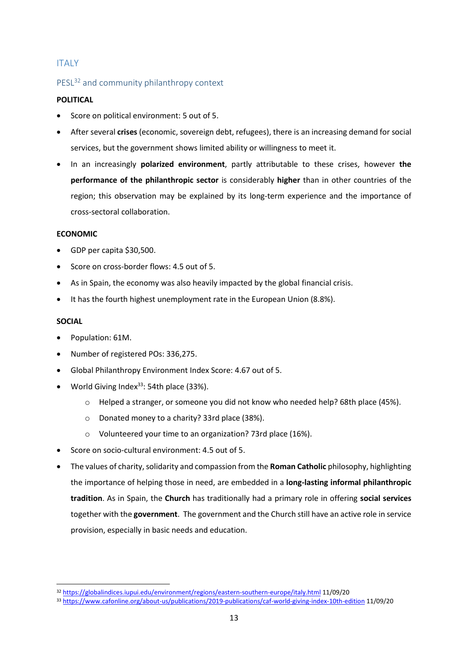### <span id="page-14-0"></span>ITALY

### <span id="page-14-1"></span>PESL<sup>32</sup> and community philanthropy context

### **POLITICAL**

- Score on political environment: 5 out of 5.
- After several **crises** (economic, sovereign debt, refugees), there is an increasing demand for social services, but the government shows limited ability or willingness to meet it.
- In an increasingly **polarized environment**, partly attributable to these crises, however **the performance of the philanthropic sector** is considerably **higher** than in other countries of the region; this observation may be explained by its long-term experience and the importance of cross-sectoral collaboration.

#### **ECONOMIC**

- GDP per capita \$30,500.
- Score on cross-border flows: 4.5 out of 5.
- As in Spain, the economy was also heavily impacted by the global financial crisis.
- It has the fourth highest unemployment rate in the European Union (8.8%).

#### **SOCIAL**

- Population: 61M.
- Number of registered POs: 336,275.
- Global Philanthropy Environment Index Score: [4.67 out of 5.](https://globalindices.iupui.edu/environment/regions/eastern-southern-europe/index.html)
- World Giving Index<sup>33</sup>: 54th place (33%).
	- o Helped a stranger, or someone you did not know who needed help? 68th place (45%).
	- o Donated money to a charity? 33rd place (38%).
	- o Volunteered your time to an organization? 73rd place (16%).
- Score on socio-cultural environment: 4.5 out of 5.
- The values of charity, solidarity and compassion from the **Roman Catholic** philosophy, highlighting the importance of helping those in need, are embedded in a **long-lasting informal philanthropic tradition**. As in Spain, the **Church** has traditionally had a primary role in offering **social services** together with the **government**. The government and the Church still have an active role in service provision, especially in basic needs and education.

<sup>32</sup> <https://globalindices.iupui.edu/environment/regions/eastern-southern-europe/italy.html> 11/09/20

<sup>33</sup> <https://www.cafonline.org/about-us/publications/2019-publications/caf-world-giving-index-10th-edition> 11/09/20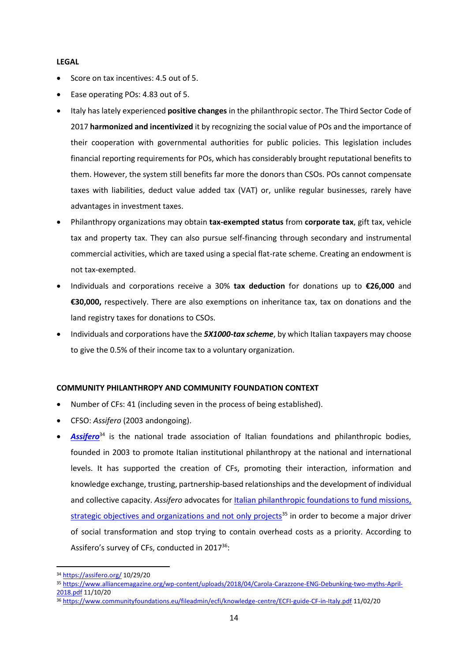#### **LEGAL**

- Score on tax incentives: 4.5 out of 5.
- Ease operating POs: 4.83 out of 5.
- Italy has lately experienced **positive changes** in the philanthropic sector. The Third Sector Code of 2017 **harmonized and incentivized** it by recognizing the social value of POs and the importance of their cooperation with governmental authorities for public policies. This legislation includes financial reporting requirements for POs, which has considerably brought reputational benefits to them. However, the system still benefits far more the donors than CSOs. POs cannot compensate taxes with liabilities, deduct value added tax (VAT) or, unlike regular businesses, rarely have advantages in investment taxes.
- Philanthropy organizations may obtain **tax-exempted status** from **corporate tax**, gift tax, vehicle tax and property tax. They can also pursue self-financing through secondary and instrumental commercial activities, which are taxed using a special flat-rate scheme. Creating an endowment is not tax-exempted.
- Individuals and corporations receive a 30% **tax deduction** for donations up to **€26,000** and **€30,000,** respectively. There are also exemptions on inheritance tax, tax on donations and the land registry taxes for donations to CSOs.
- Individuals and corporations have the *5X1000-tax scheme*, by which Italian taxpayers may choose to give the 0.5% of their income tax to a voluntary organization.

#### **COMMUNITY PHILANTHROPY AND COMMUNITY FOUNDATION CONTEXT**

- Number of CFs: 41 (including seven in the process of being established).
- CFSO: *Assifero* (2003 andongoing).
- [Assifero](https://assifero.org/)<sup>34</sup> is the national trade association of Italian foundations and philanthropic bodies, founded in 2003 to promote Italian institutional philanthropy at the national and international levels. It has supported the creation of CFs, promoting their interaction, information and knowledge exchange, trusting, partnership-based relationships and the development of individual and collective capacity. Assifero advocates for **Italian philanthropic foundations to fund missions**, [strategic objectives and organizations and not only projects](https://www.alliancemagazine.org/wp-content/uploads/2018/04/Carola-Carazzone-ENG-Debunking-two-myths-April-2018.pdf)<sup>35</sup> in order to become a major driver of social transformation and stop trying to contain overhead costs as a priority. According to Assifero's survey of CFs, conducted in 2017<sup>36</sup>:

<sup>34</sup> <https://assifero.org/> 10/29/20

<sup>35</sup> [https://www.alliancemagazine.org/wp-content/uploads/2018/04/Carola-Carazzone-ENG-Debunking-two-myths-April-](https://www.alliancemagazine.org/wp-content/uploads/2018/04/Carola-Carazzone-ENG-Debunking-two-myths-April-2018.pdf)[2018.pdf](https://www.alliancemagazine.org/wp-content/uploads/2018/04/Carola-Carazzone-ENG-Debunking-two-myths-April-2018.pdf) 11/10/20

<sup>36</sup> <https://www.communityfoundations.eu/fileadmin/ecfi/knowledge-centre/ECFI-guide-CF-in-Italy.pdf> 11/02/20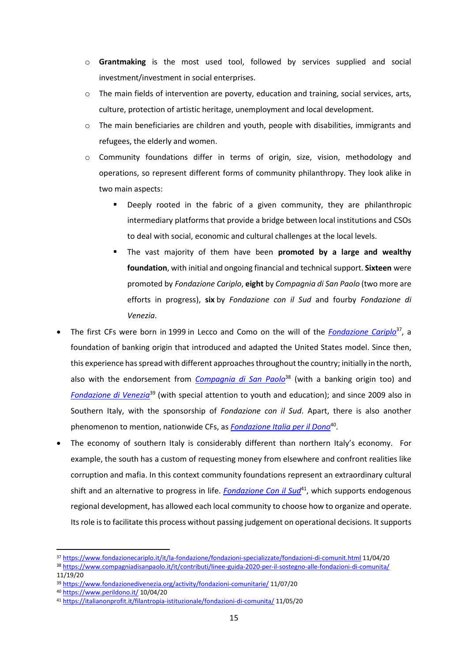- o **Grantmaking** is the most used tool, followed by services supplied and social investment/investment in social enterprises.
- $\circ$  The main fields of intervention are poverty, education and training, social services, arts, culture, protection of artistic heritage, unemployment and local development.
- $\circ$  The main beneficiaries are children and youth, people with disabilities, immigrants and refugees, the elderly and women.
- o Community foundations differ in terms of origin, size, vision, methodology and operations, so represent different forms of community philanthropy. They look alike in two main aspects:
	- Deeply rooted in the fabric of a given community, they are philanthropic intermediary platforms that provide a bridge between local institutions and CSOs to deal with social, economic and cultural challenges at the local levels.
	- The vast majority of them have been **promoted by a large and wealthy foundation**, with initial and ongoing financial and technicalsupport. **Sixteen** were promoted by *Fondazione Cariplo*, **eight** by *[Compagnia di San Paolo](http://www.compagniadisanpaolo.it/)* (two more are efforts in progress), **six** by *Fondazione con il Sud* and fourby *Fondazione di Venezia*.
- The first CFs were born in 1999 in Lecco and Como on the will of the *[Fondazione Cariplo](https://www.fondazionecariplo.it/it/la-fondazione/fondazioni-specializzate/fondazioni-di-comunit.html)*<sup>37</sup>, a foundation of banking origin that introduced and adapted the United States model. Since then, this experience has spread with different approaches throughout the country; initially in the north, also with the endorsement from *[Compagnia di San Paolo](https://www.compagniadisanpaolo.it/it/contributi/linee-guida-2020-per-il-sostegno-alle-fondazioni-di-comunita/)*<sup>38</sup> (with a banking origin too) and *[Fondazione di Venezia](https://www.fondazionedivenezia.org/activity/fondazioni-comunitarie/)*<sup>39</sup> (with special attention to youth and education); and since 2009 also in Southern Italy, with the sponsorship of *Fondazione con il Sud*. Apart, there is also another phenomenon to mention, nationwide CFs, as **[Fondazione Italia per il Dono](https://www.perildono.it/)**<sup>40</sup>.
- The economy of southern Italy is considerably different than northern Italy's economy. For example, the south has a custom of requesting money from elsewhere and confront realities like corruption and mafia. In this context community foundations represent an extraordinary cultural shift and an alternative to progress in life. *[Fondazione Con il Sud](https://www.fondazioneconilsud.it/interventi/fondazioni-di-comunita/)*<sup>41</sup>, which supports endogenous regional development, has allowed each local community to choose how to organize and operate. Its role is to facilitate this process without passing judgement on operational decisions. It supports

<sup>37</sup> <https://www.fondazionecariplo.it/it/la-fondazione/fondazioni-specializzate/fondazioni-di-comunit.html> 11/04/20

<sup>38</sup> <https://www.compagniadisanpaolo.it/it/contributi/linee-guida-2020-per-il-sostegno-alle-fondazioni-di-comunita/> 11/19/20

<sup>39</sup> <https://www.fondazionedivenezia.org/activity/fondazioni-comunitarie/> 11/07/20

<sup>40</sup> <https://www.perildono.it/> 10/04/20

<sup>41</sup> <https://italianonprofit.it/filantropia-istituzionale/fondazioni-di-comunita/> 11/05/20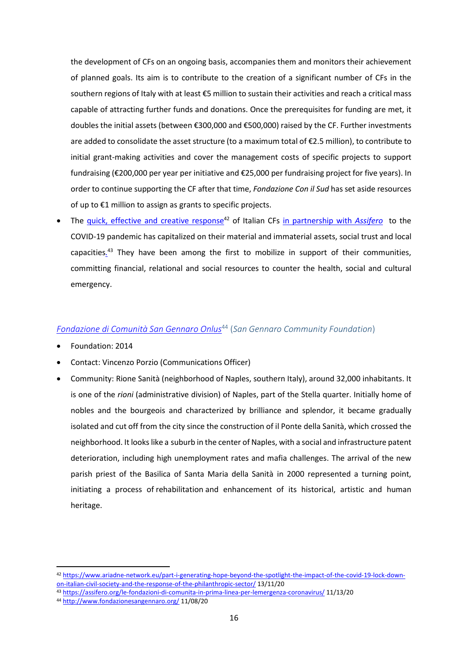the development of CFs on an ongoing basis, accompanies them and monitors their achievement of planned goals. Its aim is to contribute to the creation of a significant number of CFs in the southern regions of Italy with at least €5 million to sustain their activities and reach a critical mass capable of attracting further funds and donations. Once the prerequisites for funding are met, it doubles the initial assets (between €300,000 and €500,000) raised by the CF. Further investments are added to consolidate the asset structure (to a maximum total of €2.5 million), to contribute to initial grant-making activities and cover the management costs of specific projects to support fundraising (€200,000 per year per initiative and €25,000 per fundraising project for five years). In order to continue supporting the CF after that time, *Fondazione Con il Sud* has set aside resources of up to €1 million to assign as grants to specific projects.

The [quick, effective and creative response](https://www.ariadne-network.eu/part-i-generating-hope-beyond-the-spotlight-the-impact-of-the-covid-19-lock-down-on-italian-civil-society-and-the-response-of-the-philanthropic-sector/)<sup>42</sup> of Italian CFs [in partnership with](https://assifero.org/le-fondazioni-di-comunita-in-prima-linea-per-lemergenza-coronavirus/v) *Assifero* to the COVID-19 pandemic has capitalized on their material and immaterial assets, social trust and local capacities*.* <sup>43</sup> They have been among the first to mobilize in support of their communities, committing financial, relational and social resources to counter the health, social and cultural emergency.

### <span id="page-17-0"></span>*[Fondazione di Comunità San Gennaro Onlus](http://www.fondazionesangennaro.org/)*<sup>44</sup> (*San Gennaro Community Foundation*)

- Foundation: 2014
- Contact: Vincenzo Porzio (Communications Officer)
- Community: Rione Sanità (neighborhood of Naples, southern Italy), around 32,000 inhabitants. It is one of the *rioni* (administrative division) of Naples, part of the Stella quarter. Initially home of nobles and the bourgeois and characterized by brilliance and splendor, it became gradually isolated and cut off from the city since the construction of il Ponte della Sanità, which crossed the neighborhood. It looks like a suburb in the center of Naples, with a social and infrastructure patent deterioration, including high unemployment rates and mafia challenges. The arrival of the new parish priest of the Basilica of Santa Maria della Sanità in 2000 represented a turning point, initiating a process of rehabilitation and enhancement of its historical, artistic and human heritage.

<sup>42</sup> [https://www.ariadne-network.eu/part-i-generating-hope-beyond-the-spotlight-the-impact-of-the-covid-19-lock-down](https://www.ariadne-network.eu/part-i-generating-hope-beyond-the-spotlight-the-impact-of-the-covid-19-lock-down-on-italian-civil-society-and-the-response-of-the-philanthropic-sector/)[on-italian-civil-society-and-the-response-of-the-philanthropic-sector/](https://www.ariadne-network.eu/part-i-generating-hope-beyond-the-spotlight-the-impact-of-the-covid-19-lock-down-on-italian-civil-society-and-the-response-of-the-philanthropic-sector/) 13/11/20

<sup>43</sup> <https://assifero.org/le-fondazioni-di-comunita-in-prima-linea-per-lemergenza-coronavirus/> 11/13/20

<sup>44</sup> <http://www.fondazionesangennaro.org/> 11/08/20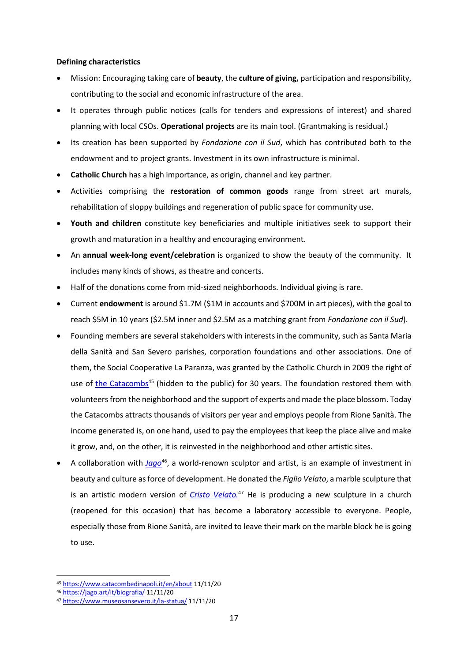#### **Defining characteristics**

- Mission: Encouraging taking care of **beauty**, the **culture of giving,** participation and responsibility, contributing to the social and economic infrastructure of the area.
- It operates through public notices (calls for tenders and expressions of interest) and shared planning with local CSOs. **Operational projects** are its main tool. (Grantmaking is residual.)
- Its creation has been supported by *Fondazione con il Sud*, which has contributed both to the endowment and to project grants. Investment in its own infrastructure is minimal.
- **Catholic Church** has a high importance, as origin, channel and key partner.
- Activities comprising the **restoration of common goods** range from street art murals, rehabilitation of sloppy buildings and regeneration of public space for community use.
- **Youth and children** constitute key beneficiaries and multiple initiatives seek to support their growth and maturation in a healthy and encouraging environment.
- An **annual week-long event/celebration** is organized to show the beauty of the community. It includes many kinds of shows, as theatre and concerts.
- Half of the donations come from mid-sized neighborhoods. Individual giving is rare.
- Current **endowment** is around \$1.7M (\$1M in accounts and \$700M in art pieces), with the goal to reach \$5M in 10 years (\$2.5M inner and \$2.5M as a matching grant from *Fondazione con il Sud*).
- Founding members are several stakeholders with interests in the community, such as Santa Maria della Sanità and San Severo parishes, corporation foundations and other associations. One of them, the Social Cooperative La Paranza, was granted by the Catholic Church in 2009 the right of use of [the Catacombs](https://www.catacombedinapoli.it/en/about)<sup>45</sup> (hidden to the public) for 30 years. The foundation restored them with volunteers from the neighborhood and the support of experts and made the place blossom. Today the Catacombs attracts thousands of visitors per year and employs people from Rione Sanità. The income generated is, on one hand, used to pay the employees that keep the place alive and make it grow, and, on the other, it is reinvested in the neighborhood and other artistic sites.
- A collaboration with *[Jago](https://jago.art/it/biografia/)*<sup>46</sup>, a world-renown sculptor and artist, is an example of investment in beauty and culture as force of development. He donated the *Figlio Velato*, a marble sculpture that is an artistic modern version of *[Cristo Velato.](https://www.museosansevero.it/la-statua/)* <sup>47</sup> He is producing a new sculpture in a church (reopened for this occasion) that has become a laboratory accessible to everyone. People, especially those from Rione Sanità, are invited to leave their mark on the marble block he is going to use.

<sup>45</sup> <https://www.catacombedinapoli.it/en/about> 11/11/20

<sup>46</sup> <https://jago.art/it/biografia/> 11/11/20

<sup>47</sup> <https://www.museosansevero.it/la-statua/> 11/11/20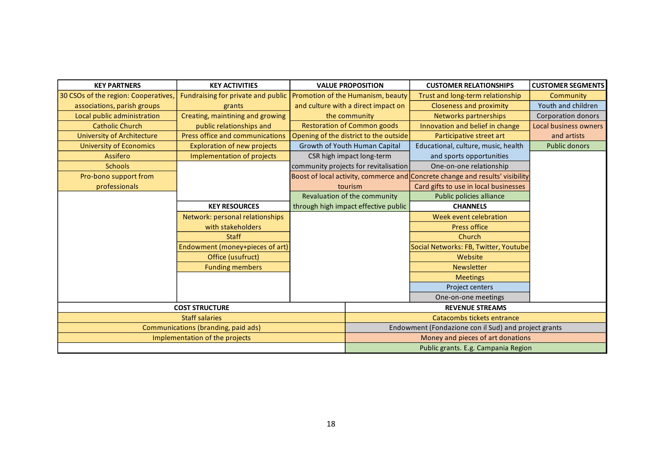| <b>KEY PARTNERS</b>                  | <b>KEY ACTIVITIES</b>                  |  | <b>VALUE PROPOSITION</b>                             | <b>CUSTOMER RELATIONSHIPS</b>                                                 | <b>CUSTOMER SEGMENTS</b>  |  |  |
|--------------------------------------|----------------------------------------|--|------------------------------------------------------|-------------------------------------------------------------------------------|---------------------------|--|--|
| 30 CSOs of the region: Cooperatives, | Fundraising for private and public     |  | Promotion of the Humanism, beauty                    | Trust and long-term relationship                                              | Community                 |  |  |
| associations, parish groups          | grants                                 |  | and culture with a direct impact on                  | <b>Closeness and proximity</b>                                                | Youth and children        |  |  |
| Local public administration          | Creating, maintining and growing       |  | the community                                        | Networks partnerships                                                         | <b>Corporation donors</b> |  |  |
| <b>Catholic Church</b>               | public relationships and               |  | <b>Restoration of Common goods</b>                   | Innovation and belief in change                                               | Local business owners     |  |  |
| <b>University of Architecture</b>    | <b>Press office and communications</b> |  | Opening of the district to the outside               | Participative street art                                                      | and artists               |  |  |
| <b>University of Economics</b>       | <b>Exploration of new projects</b>     |  | Growth of Youth Human Capital                        | Educational, culture, music, health                                           | <b>Public donors</b>      |  |  |
| Assifero                             | <b>Implementation of projects</b>      |  | CSR high impact long-term                            | and sports opportunities                                                      |                           |  |  |
| <b>Schools</b>                       |                                        |  | community projects for revitalisation                | One-on-one relationship                                                       |                           |  |  |
| Pro-bono support from                |                                        |  |                                                      | Boost of local activity, commerce and Concrete change and results' visibility |                           |  |  |
| professionals                        |                                        |  | tourism                                              | Card gifts to use in local businesses                                         |                           |  |  |
|                                      |                                        |  | Revaluation of the community                         | Public policies alliance                                                      |                           |  |  |
|                                      | <b>KEY RESOURCES</b>                   |  | through high impact effective public                 | <b>CHANNELS</b>                                                               |                           |  |  |
|                                      | Network: personal relationships        |  |                                                      | Week event celebration                                                        |                           |  |  |
|                                      | with stakeholders                      |  |                                                      | <b>Press office</b>                                                           |                           |  |  |
|                                      | <b>Staff</b>                           |  |                                                      | Church                                                                        |                           |  |  |
|                                      | Endowment (money+pieces of art)        |  |                                                      | Social Networks: FB, Twitter, Youtube                                         |                           |  |  |
|                                      | Office (usufruct)                      |  |                                                      | Website                                                                       |                           |  |  |
|                                      | <b>Funding members</b>                 |  |                                                      | <b>Newsletter</b>                                                             |                           |  |  |
|                                      |                                        |  |                                                      | <b>Meetings</b>                                                               |                           |  |  |
|                                      |                                        |  |                                                      | Project centers                                                               |                           |  |  |
|                                      |                                        |  |                                                      | One-on-one meetings                                                           |                           |  |  |
|                                      | <b>COST STRUCTURE</b>                  |  |                                                      | <b>REVENUE STREAMS</b>                                                        |                           |  |  |
|                                      | <b>Staff salaries</b>                  |  |                                                      | Catacombs tickets entrance                                                    |                           |  |  |
|                                      | Communications (branding, paid ads)    |  | Endowment (Fondazione con il Sud) and project grants |                                                                               |                           |  |  |
|                                      | Implementation of the projects         |  | Money and pieces of art donations                    |                                                                               |                           |  |  |
|                                      |                                        |  | Public grants. E.g. Campania Region                  |                                                                               |                           |  |  |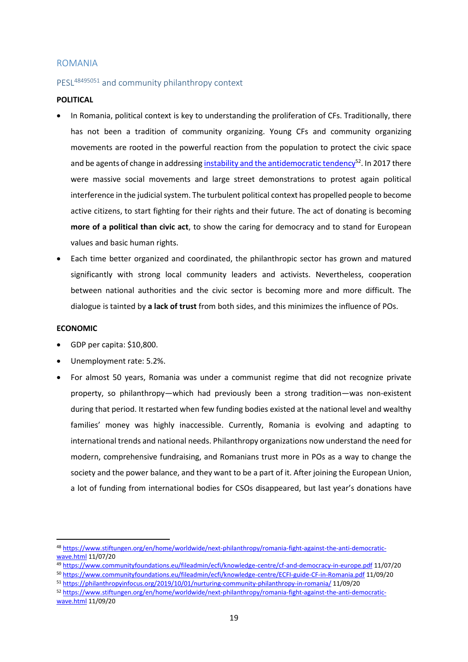#### <span id="page-20-0"></span>ROMANIA

### <span id="page-20-1"></span>PESL<sup>48495051</sup> and community philanthropy context

#### **POLITICAL**

- In Romania, political context is key to understanding the proliferation of CFs. Traditionally, there has not been a tradition of community organizing. Young CFs and community organizing movements are rooted in the powerful reaction from the population to protect the civic space and be agents of change in addressin[g instability and the antidemocratic tendency](https://www.stiftungen.org/en/home/worldwide/next-philanthropy/romania-fight-against-the-anti-democratic-wave.html)<sup>52</sup>. In 2017 there were massive social movements and large street demonstrations to protest again political interference in the judicial system. The turbulent political context has propelled people to become active citizens, to start fighting for their rights and their future. The act of donating is becoming **more of a political than civic act**, to show the caring for democracy and to stand for European values and basic human rights.
- Each time better organized and coordinated, the philanthropic sector has grown and matured significantly with strong local community leaders and activists. Nevertheless, cooperation between national authorities and the civic sector is becoming more and more difficult. The dialogue is tainted by **a lack of trust** from both sides, and this minimizes the influence of POs.

#### **ECONOMIC**

- GDP per capita: \$10,800.
- Unemployment rate: 5.2%.
- For almost 50 years, Romania was under a communist regime that did not recognize private property, so philanthropy—which had previously been a strong tradition—was non-existent during that period. It restarted when few funding bodies existed at the national level and wealthy families' money was highly inaccessible. Currently, Romania is evolving and adapting to international trends and national needs. Philanthropy organizations now understand the need for modern, comprehensive fundraising, and Romanians trust more in POs as a way to change the society and the power balance, and they want to be a part of it. After joining the European Union, a lot of funding from international bodies for CSOs disappeared, but last year's donations have

<sup>49</sup> <https://www.communityfoundations.eu/fileadmin/ecfi/knowledge-centre/cf-and-democracy-in-europe.pdf> 11/07/20

<sup>48</sup> [https://www.stiftungen.org/en/home/worldwide/next-philanthropy/romania-fight-against-the-anti-democratic](https://www.stiftungen.org/en/home/worldwide/next-philanthropy/romania-fight-against-the-anti-democratic-wave.html)[wave.html](https://www.stiftungen.org/en/home/worldwide/next-philanthropy/romania-fight-against-the-anti-democratic-wave.html) 11/07/20

<sup>50</sup> <https://www.communityfoundations.eu/fileadmin/ecfi/knowledge-centre/ECFI-guide-CF-in-Romania.pdf> 11/09/20

<sup>51</sup> <https://philanthropyinfocus.org/2019/10/01/nurturing-community-philanthropy-in-romania/> 11/09/20

<sup>52</sup> [https://www.stiftungen.org/en/home/worldwide/next-philanthropy/romania-fight-against-the-anti-democratic](https://www.stiftungen.org/en/home/worldwide/next-philanthropy/romania-fight-against-the-anti-democratic-wave.html)[wave.html](https://www.stiftungen.org/en/home/worldwide/next-philanthropy/romania-fight-against-the-anti-democratic-wave.html) 11/09/20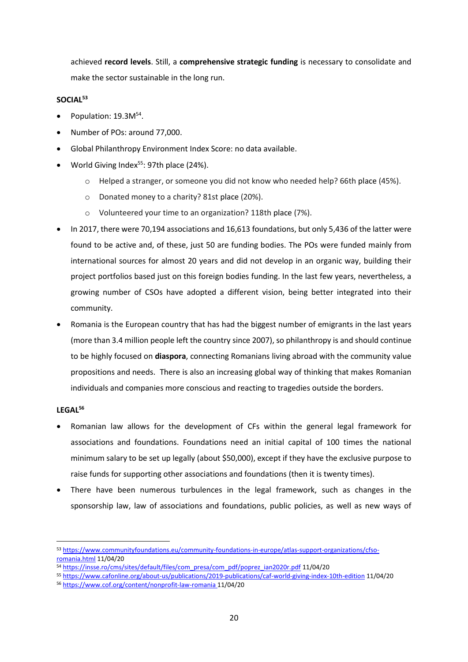achieved **record levels**. Still, a **comprehensive strategic funding** is necessary to consolidate and make the sector sustainable in the long run.

### **SOCIAL<sup>53</sup>**

- Population:  $19.3M^{54}$ .
- Number of POs: around 77,000.
- Global Philanthropy Environment Index Score: no data available.
- World Giving Index $55$ : 97th place (24%).
	- o Helped a stranger, or someone you did not know who needed help? 66th place (45%).
	- o Donated money to a charity? 81st place (20%).
	- o Volunteered your time to an organization? 118th place (7%).
- In 2017, there were 70,194 associations and 16,613 foundations, but only 5,436 of the latter were found to be active and, of these, just 50 are funding bodies. The POs were funded mainly from international sources for almost 20 years and did not develop in an organic way, building their project portfolios based just on this foreign bodies funding. In the last few years, nevertheless, a growing number of CSOs have adopted a different vision, being better integrated into their community.
- Romania is the European country that has had the biggest number of emigrants in the last years (more than 3.4 million people left the country since 2007), so philanthropy is and should continue to be highly focused on **diaspora**, connecting Romanians living abroad with the community value propositions and needs. There is also an increasing global way of thinking that makes Romanian individuals and companies more conscious and reacting to tragedies outside the borders.

### **LEGAL<sup>56</sup>**

- Romanian law allows for the development of CFs within the general legal framework for associations and foundations. Foundations need an initial capital of 100 times the national minimum salary to be set up legally (about \$50,000), except if they have the exclusive purpose to raise funds for supporting other associations and foundations (then it is twenty times).
- There have been numerous turbulences in the legal framework, such as changes in the sponsorship law, law of associations and foundations, public policies, as well as new ways of

<sup>53</sup> [https://www.communityfoundations.eu/community-foundations-in-europe/atlas-support-organizations/cfso](https://www.communityfoundations.eu/community-foundations-in-europe/atlas-support-organizations/cfso-romania.html)[romania.html](https://www.communityfoundations.eu/community-foundations-in-europe/atlas-support-organizations/cfso-romania.html) 11/04/20

<sup>54</sup> [https://insse.ro/cms/sites/default/files/com\\_presa/com\\_pdf/poprez\\_ian2020r.pdf](https://insse.ro/cms/sites/default/files/com_presa/com_pdf/poprez_ian2020r.pdf) 11/04/20

<sup>55</sup> <https://www.cafonline.org/about-us/publications/2019-publications/caf-world-giving-index-10th-edition> 11/04/20

<sup>56</sup> <https://www.cof.org/content/nonprofit-law-romania> 11/04/20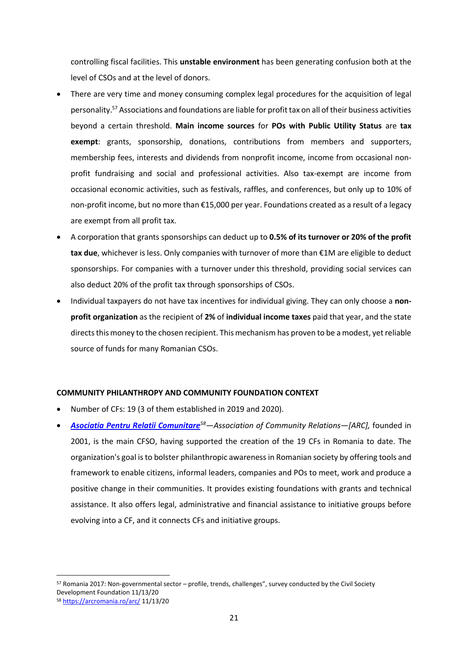controlling fiscal facilities. This **unstable environment** has been generating confusion both at the level of CSOs and at the level of donors.

- There are very time and money consuming complex legal procedures for the acquisition of legal personality. <sup>57</sup> Associations and foundations are liable for profit tax on all of their business activities beyond a certain threshold. **Main income sources** for **POs with Public Utility Status** are **tax exempt**: grants, sponsorship, donations, contributions from members and supporters, membership fees, interests and dividends from nonprofit income, income from occasional nonprofit fundraising and social and professional activities. Also tax-exempt are income from occasional economic activities, such as festivals, raffles, and conferences, but only up to 10% of non-profit income, but no more than €15,000 per year. Foundations created as a result of a legacy are exempt from all profit tax.
- A corporation that grants sponsorships can deduct up to **0.5% of its turnover or 20% of the profit tax due**, whichever is less. Only companies with turnover of more than €1M are eligible to deduct sponsorships. For companies with a turnover under this threshold, providing social services can also deduct 20% of the profit tax through sponsorships of CSOs.
- Individual taxpayers do not have tax incentives for individual giving. They can only choose a **nonprofit organization** as the recipient of **2%** of **individual income taxes** paid that year, and the state directs this money to the chosen recipient. This mechanism has proven to be a modest, yet reliable source of funds for many Romanian CSOs.

#### **COMMUNITY PHILANTHROPY AND COMMUNITY FOUNDATION CONTEXT**

- Number of CFs: 19 (3 of them established in 2019 and 2020).
- *[Asociatia Pentru Relatii Comunitare](https://arcromania.ro/arc/)<sup>58</sup>—Association of Community Relations—[ARC],* founded in 2001, is the main CFSO, having supported the creation of the 19 CFs in Romania to date. The organization's goal is to bolster philanthropic awareness in Romanian society by offering tools and framework to enable citizens, informal leaders, companies and POs to meet, work and produce a positive change in their communities. It provides existing foundations with grants and technical assistance. It also offers legal, administrative and financial assistance to initiative groups before evolving into a CF, and it connects CFs and initiative groups.

<sup>57</sup> Romania 2017: Non-governmental sector – profile, trends, challenges", survey conducted by the Civil Society Development Foundation 11/13/20

<sup>58</sup> <https://arcromania.ro/arc/> 11/13/20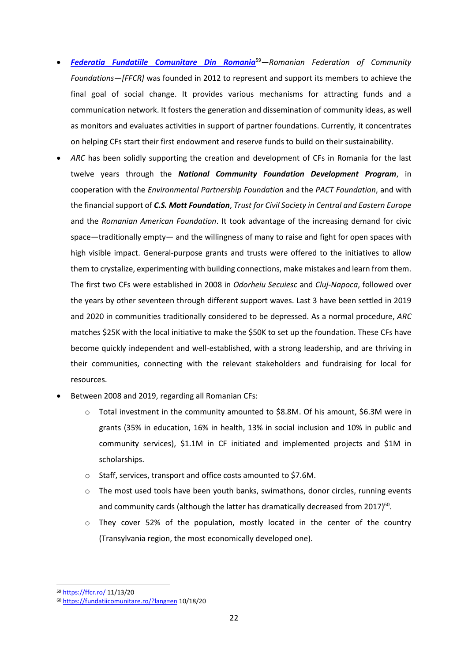- *[Federatia Fundatiile Comunitare Din Romania](https://ffcr.ro/)*<sup>59</sup>*—Romanian Federation of Community Foundations—[FFCR]* was founded in 2012 to represent and support its members to achieve the final goal of social change. It provides various mechanisms for attracting funds and a communication network. It fosters the generation and dissemination of community ideas, as well as monitors and evaluates activities in support of partner foundations. Currently, it concentrates on helping CFs start their first endowment and reserve funds to build on their sustainability.
- *ARC* has been solidly supporting the creation and development of CFs in Romania for the last twelve years through the *National Community Foundation Development Program*, in cooperation with the *Environmental Partnership Foundation* and the *PACT Foundation*, and with the financial support of *C.S. Mott Foundation*, *Trust for Civil Society in Central and Eastern Europe* and the *Romanian American Foundation*. It took advantage of the increasing demand for civic space—traditionally empty— and the willingness of many to raise and fight for open spaces with high visible impact. General-purpose grants and trusts were offered to the initiatives to allow them to crystalize, experimenting with building connections, make mistakes and learn from them. The first two CFs were established in 2008 in *Odorheiu Secuiesc* and *Cluj-Napoca*, followed over the years by other seventeen through different support waves. Last 3 have been settled in 2019 and 2020 in communities traditionally considered to be depressed. As a normal procedure, *ARC* matches \$25K with the local initiative to make the \$50K to set up the foundation. These CFs have become quickly independent and well-established, with a strong leadership, and are thriving in their communities, connecting with the relevant stakeholders and fundraising for local for resources.
- Between 2008 and 2019, regarding all Romanian CFs:
	- o Total investment in the community amounted to \$8.8M. Of his amount, \$6.3M were in grants (35% in education, 16% in health, 13% in social inclusion and 10% in public and community services), \$1.1M in CF initiated and implemented projects and \$1M in scholarships.
	- o Staff, services, transport and office costs amounted to \$7.6M.
	- $\circ$  The most used tools have been youth banks, swimathons, donor circles, running events and community cards (although the latter has dramatically decreased from 2017) $60$ .
	- o They cover 52% of the population, mostly located in the center of the country (Transylvania region, the most economically developed one).

<sup>59</sup> <https://ffcr.ro/> 11/13/20

<sup>60</sup> <https://fundatiicomunitare.ro/?lang=en> 10/18/20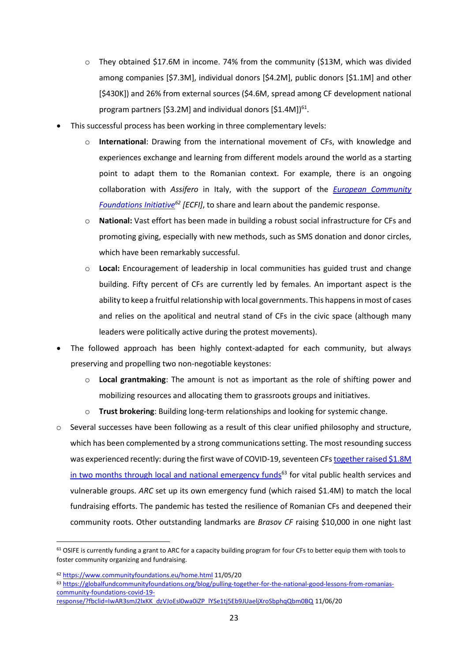- $\circ$  They obtained \$17.6M in income. 74% from the community (\$13M, which was divided among companies [\$7.3M], individual donors [\$4.2M], public donors [\$1.1M] and other [\$430K]) and 26% from external sources (\$4.6M, spread among CF development national program partners [\$3.2M] and individual donors [\$1.4M])<sup>61</sup>.
- This successful process has been working in three complementary levels:
	- o **International**: Drawing from the international movement of CFs, with knowledge and experiences exchange and learning from different models around the world as a starting point to adapt them to the Romanian context. For example, there is an ongoing collaboration with *Assifero* in Italy, with the support of the *[European Community](https://www.communityfoundations.eu/home.html)  [Foundations Initiative](https://www.communityfoundations.eu/home.html)<sup>62</sup> [ECFI]*, to share and learn about the pandemic response.
	- o **National:** Vast effort has been made in building a robust social infrastructure for CFs and promoting giving, especially with new methods, such as SMS donation and donor circles, which have been remarkably successful.
	- o **Local:** Encouragement of leadership in local communities has guided trust and change building. Fifty percent of CFs are currently led by females. An important aspect is the ability to keep a fruitful relationship with local governments. This happens in most of cases and relies on the apolitical and neutral stand of CFs in the civic space (although many leaders were politically active during the protest movements).
- The followed approach has been highly context-adapted for each community, but always preserving and propelling two non-negotiable keystones:
	- o **Local grantmaking**: The amount is not as important as the role of shifting power and mobilizing resources and allocating them to grassroots groups and initiatives.
	- o **Trust brokering**: Building long-term relationships and looking for systemic change.
- $\circ$  Several successes have been following as a result of this clear unified philosophy and structure, which has been complemented by a strong communications setting. The most resounding success was experienced recently: during the first wave of COVID-19, seventeen CF[s together](https://globalfundcommunityfoundations.org/blog/pulling-together-for-the-national-good-lessons-from-romanias-community-foundations-covid-19-response/?fbclid=IwAR3smJ2lxKK_dzVJoEsl0wa0iZP_lYSe1tj5Eb9JUaeljXroSbphqQbm0BQ) raised \$1.8M in two [months through local and national emergency funds](https://globalfundcommunityfoundations.org/blog/pulling-together-for-the-national-good-lessons-from-romanias-community-foundations-covid-19-response/?fbclid=IwAR3smJ2lxKK_dzVJoEsl0wa0iZP_lYSe1tj5Eb9JUaeljXroSbphqQbm0BQ)<sup>63</sup> for vital public health services and vulnerable groups. *ARC* set up its own emergency fund (which raised \$1.4M) to match the local fundraising efforts. The pandemic has tested the resilience of Romanian CFs and deepened their community roots. Other outstanding landmarks are *Brasov CF* raising \$10,000 in one night last

[response/?fbclid=IwAR3smJ2lxKK\\_dzVJoEsl0wa0iZP\\_lYSe1tj5Eb9JUaeljXroSbphqQbm0BQ](https://globalfundcommunityfoundations.org/blog/pulling-together-for-the-national-good-lessons-from-romanias-community-foundations-covid-19-response/?fbclid=IwAR3smJ2lxKK_dzVJoEsl0wa0iZP_lYSe1tj5Eb9JUaeljXroSbphqQbm0BQ) 11/06/20

<sup>61</sup> OSIFE is currently funding a grant to ARC for a capacity building program for four CFs to better equip them with tools to foster community organizing and fundraising.

<sup>62</sup> <https://www.communityfoundations.eu/home.html> 11/05/20

<sup>63</sup> [https://globalfundcommunityfoundations.org/blog/pulling-together-for-the-national-good-lessons-from-romanias](https://globalfundcommunityfoundations.org/blog/pulling-together-for-the-national-good-lessons-from-romanias-community-foundations-covid-19-response/?fbclid=IwAR3smJ2lxKK_dzVJoEsl0wa0iZP_lYSe1tj5Eb9JUaeljXroSbphqQbm0BQ)[community-foundations-covid-19-](https://globalfundcommunityfoundations.org/blog/pulling-together-for-the-national-good-lessons-from-romanias-community-foundations-covid-19-response/?fbclid=IwAR3smJ2lxKK_dzVJoEsl0wa0iZP_lYSe1tj5Eb9JUaeljXroSbphqQbm0BQ)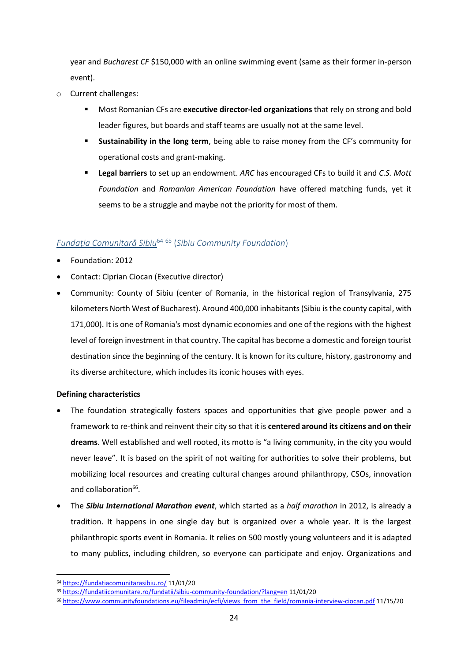year and *Bucharest CF* \$150,000 with an online swimming event (same as their former in-person event).

- o Current challenges:
	- **■** Most Romanian CFs are **executive director-led organizations** that rely on strong and bold leader figures, but boards and staff teams are usually not at the same level.
	- **Sustainability in the long term**, being able to raise money from the CF's community for operational costs and grant-making.
	- **Legal barriers** to set up an endowment. *ARC* has encouraged CFs to build it and *C.S. Mott Foundation* and *Romanian American Foundation* have offered matching funds, yet it seems to be a struggle and maybe not the priority for most of them.

### <span id="page-25-0"></span>*Fundaţia Comunitară Sibiu*<sup>64</sup> <sup>65</sup> (*[Sibiu Community Foundation](https://fundatiacomunitarasibiu.ro/)*)

- Foundation: 2012
- Contact: Ciprian Ciocan (Executive director)
- Community: County of Sibiu (center of Romania, in the historical region of Transylvania, 275 kilometers North West of Bucharest). Around 400,000 inhabitants(Sibiu is the county capital, with 171,000). It is one of Romania's most dynamic economies and one of the regions with the highest level of foreign investment in that country. The capital has become a domestic and foreign tourist destination since the beginning of the century. It is known for its culture, history, [gastronomy](https://en.wikipedia.org/wiki/Gastronomy) and its diverse architecture, which includes its iconic [houses with eyes.](https://en.wikipedia.org/wiki/Eyes_of_Sibiu)

#### **[Defining](https://fundatiacomunitarasibiu.ro/) characteristics**

- The foundation strategically fosters spaces and opportunities that give people power and a framework to re-think and reinvent their city so that it is **centered around its citizens and on their dreams**. Well established and well rooted, its motto is "a living community, in the city you would never leave". It is based on the spirit of not waiting for authorities to solve their problems, but mobilizing local resources and creating cultural changes around philanthropy, CSOs, innovation and collaboration<sup>66</sup>.
- The *Sibiu International Marathon event*, which started as a *half marathon* in 2012, is already a tradition. It happens in one single day but is organized over a whole year. It is the largest philanthropic sports event in Romania. It relies on 500 mostly young volunteers and it is adapted to many publics, including children, so everyone can participate and enjoy. Organizations and

<sup>64</sup> <https://fundatiacomunitarasibiu.ro/> 11/01/20

<sup>65</sup> <https://fundatiicomunitare.ro/fundatii/sibiu-community-foundation/?lang=en> 11/01/20

<sup>66</sup> [https://www.communityfoundations.eu/fileadmin/ecfi/views\\_from\\_the\\_field/romania-interview-ciocan.pdf](https://www.communityfoundations.eu/fileadmin/ecfi/views_from_the_field/romania-interview-ciocan.pdf) 11/15/20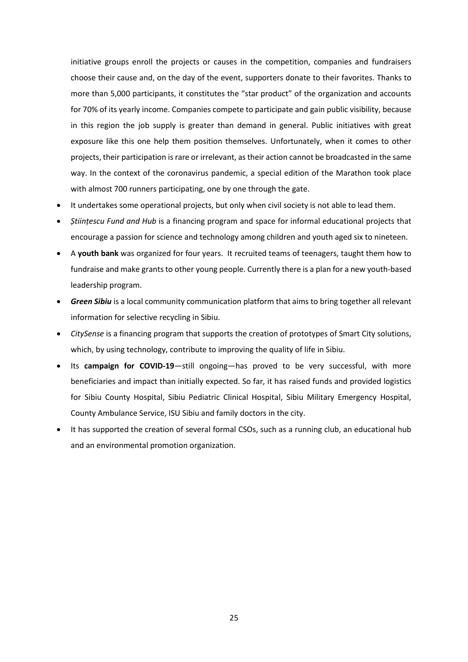initiative groups enroll the projects or causes in the competition, companies and fundraisers choose their cause and, on the day of the event, supporters donate to their favorites. Thanks to more than 5,000 participants, it constitutes the "star product" of the organization and accounts for 70% of its yearly income. Companies compete to participate and gain public visibility, because in this region the job supply is greater than demand in general. Public initiatives with great exposure like this one help them position themselves. Unfortunately, when it comes to other projects, their participation is rare or irrelevant, as their action cannot be broadcasted in the same way. In the context of the coronavirus pandemic, a special edition of the Marathon took place with almost 700 runners participating, one by one through the gate.

- It undertakes some operational projects, but only when civil society is not able to lead them.
- *Științescu Fund and Hub* is a financing program and space for informal educational projects that encourage a passion for science and technology among children and youth aged six to nineteen.
- A **youth bank** was organized for four years. It recruited teams of teenagers, taught them how to fundraise and make grants to other young people. Currently there is a plan for a new youth-based leadership program.
- **Green Sibiu** is a local community communication platform that aims to bring together all relevant information for selective recycling in Sibiu.
- *CitySense* is a financing program that supports the creation of prototypes of Smart City solutions, which, by using technology, contribute to improving the quality of life in Sibiu.
- Its **campaign for COVID-19**—still ongoing—has proved to be very successful, with more beneficiaries and impact than initially expected. So far, it has raised funds and provided logistics for Sibiu County Hospital, Sibiu Pediatric Clinical Hospital, Sibiu Military Emergency Hospital, County Ambulance Service, ISU Sibiu and family doctors in the city.
- It has supported the creation of several formal CSOs, such as a running club, an educational hub and an environmental promotion organization.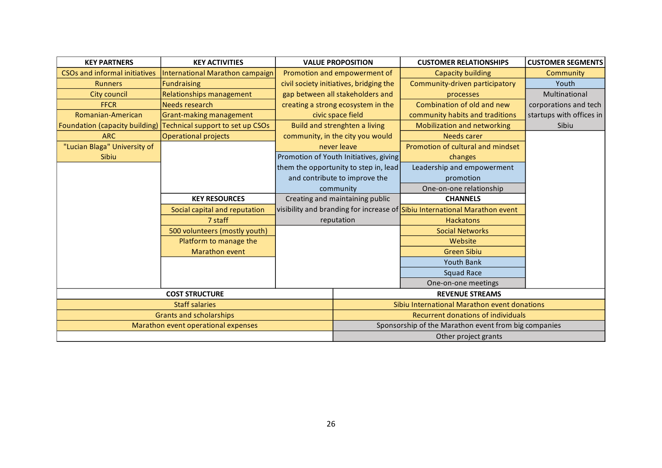| <b>KEY PARTNERS</b><br><b>KEY ACTIVITIES</b> |                                     |  | <b>VALUE PROPOSITION</b>                             | <b>CUSTOMER RELATIONSHIPS</b>                                              | <b>CUSTOMER SEGMENTS</b> |  |  |  |
|----------------------------------------------|-------------------------------------|--|------------------------------------------------------|----------------------------------------------------------------------------|--------------------------|--|--|--|
| <b>CSOs and informal initiatives</b>         | International Marathon campaign     |  | Promotion and empowerment of                         | <b>Capacity building</b>                                                   | Community                |  |  |  |
| <b>Runners</b>                               | <b>Fundraising</b>                  |  | civil society initiatives, bridging the              | Community-driven participatory                                             | Youth                    |  |  |  |
| <b>City council</b>                          | Relationships management            |  | gap between all stakeholders and                     | processes                                                                  | Multinational            |  |  |  |
| <b>FFCR</b>                                  | <b>Needs research</b>               |  | creating a strong ecosystem in the                   | Combination of old and new                                                 | corporations and tech    |  |  |  |
| Romanian-American                            | Grant-making management             |  | civic space field                                    | community habits and traditions                                            | startups with offices in |  |  |  |
| Foundation (capacity building)               | Technical support to set up CSOs    |  | Build and strenghten a living                        | Mobilization and networking                                                | Sibiu                    |  |  |  |
| <b>ARC</b>                                   | <b>Operational projects</b>         |  | community, in the city you would                     | <b>Needs carer</b>                                                         |                          |  |  |  |
| "Lucian Blaga" University of                 |                                     |  | never leave                                          | Promotion of cultural and mindset                                          |                          |  |  |  |
| Sibiu                                        |                                     |  | Promotion of Youth Initiatives, giving               | changes                                                                    |                          |  |  |  |
|                                              |                                     |  | them the opportunity to step in, lead                | Leadership and empowerment                                                 |                          |  |  |  |
|                                              |                                     |  | and contribute to improve the                        | promotion                                                                  |                          |  |  |  |
|                                              |                                     |  | community                                            | One-on-one relationship                                                    |                          |  |  |  |
|                                              | <b>KEY RESOURCES</b>                |  | Creating and maintaining public                      | <b>CHANNELS</b>                                                            |                          |  |  |  |
|                                              | Social capital and reputation       |  |                                                      | visibility and branding for increase of Sibiu International Marathon event |                          |  |  |  |
|                                              | 7 staff                             |  | reputation                                           | <b>Hackatons</b>                                                           |                          |  |  |  |
|                                              | 500 volunteers (mostly youth)       |  |                                                      | <b>Social Networks</b>                                                     |                          |  |  |  |
|                                              | Platform to manage the              |  |                                                      | Website                                                                    |                          |  |  |  |
|                                              | Marathon event                      |  |                                                      | <b>Green Sibiu</b>                                                         |                          |  |  |  |
|                                              |                                     |  |                                                      | <b>Youth Bank</b>                                                          |                          |  |  |  |
|                                              |                                     |  |                                                      | Squad Race                                                                 |                          |  |  |  |
|                                              |                                     |  |                                                      | One-on-one meetings                                                        |                          |  |  |  |
|                                              | <b>COST STRUCTURE</b>               |  |                                                      | <b>REVENUE STREAMS</b>                                                     |                          |  |  |  |
|                                              | <b>Staff salaries</b>               |  |                                                      | Sibiu International Marathon event donations                               |                          |  |  |  |
|                                              | <b>Grants and scholarships</b>      |  | <b>Recurrent donations of individuals</b>            |                                                                            |                          |  |  |  |
|                                              | Marathon event operational expenses |  | Sponsorship of the Marathon event from big companies |                                                                            |                          |  |  |  |
|                                              |                                     |  | Other project grants                                 |                                                                            |                          |  |  |  |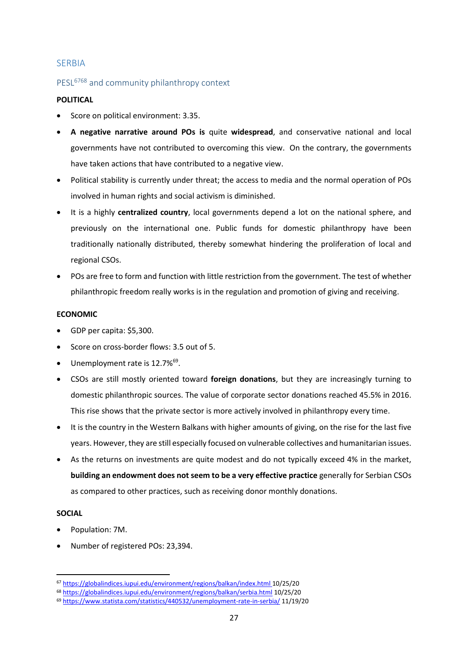### <span id="page-28-0"></span>**SERBIA**

### <span id="page-28-1"></span>PESL<sup>6768</sup> and community philanthropy context

#### **POLITICAL**

- Score on political environment: 3.35.
- **A negative narrative around POs is** quite **widespread**, and conservative national and local governments have not contributed to overcoming this view. On the contrary, the governments have taken actions that have contributed to a negative view.
- Political stability is currently under threat; the access to media and the normal operation of POs involved in human rights and social activism is diminished.
- It is a highly **centralized country**, local governments depend a lot on the national sphere, and previously on the international one. Public funds for domestic philanthropy have been traditionally nationally distributed, thereby somewhat hindering the proliferation of local and regional CSOs.
- POs are free to form and function with little restriction from the government. The test of whether philanthropic freedom really works is in the regulation and promotion of giving and receiving.

#### **ECONOMIC**

- GDP per capita: \$5,300.
- Score on cross-border flows: 3.5 out of 5.
- Unemployment rate is 12.7%<sup>69</sup>.
- CSOs are still mostly oriented toward **foreign donations**, but they are increasingly turning to domestic philanthropic sources. The value of corporate sector donations reached 45.5% in 2016. This rise shows that the private sector is more actively involved in philanthropy every time.
- It is the country in the Western Balkans with higher amounts of giving, on the rise for the last five years. However, they are still especially focused on vulnerable collectives and humanitarian issues.
- As the returns on investments are quite modest and do not typically exceed 4% in the market, **building an endowment does not seem to be a very effective practice** generally for Serbian CSOs as compared to other practices, such as receiving donor monthly donations.

### **SOCIAL**

- Population: 7M.
- Number of registered POs: 23,394.

<sup>67</sup> <https://globalindices.iupui.edu/environment/regions/balkan/index.html> 10/25/20

<sup>68</sup> <https://globalindices.iupui.edu/environment/regions/balkan/serbia.html> 10/25/20

<sup>69</sup> <https://www.statista.com/statistics/440532/unemployment-rate-in-serbia/> 11/19/20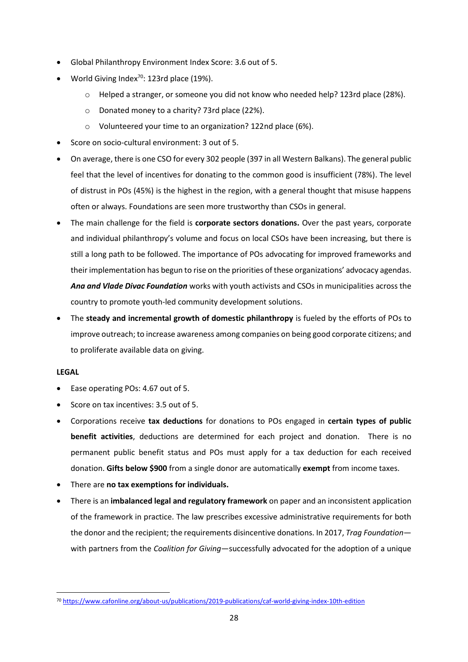- Global Philanthropy Environment Index Score: 3.6 out of 5.
- World Giving Index $^{70}$ : 123rd place (19%).
	- o Helped a stranger, or someone you did not know who needed help? 123rd place (28%).
	- o Donated money to a charity? 73rd place (22%).
	- o Volunteered your time to an organization? 122nd place (6%).
- Score on socio-cultural environment: 3 out of 5.
- On average, there is one CSO for every 302 people (397 in all Western Balkans). The general public feel that the level of incentives for donating to the common good is insufficient (78%). The level of distrust in POs (45%) is the highest in the region, with a general thought that misuse happens often or always. Foundations are seen more trustworthy than CSOs in general.
- The main challenge for the field is **corporate sectors donations.** Over the past years, corporate and individual philanthropy's volume and focus on local CSOs have been increasing, but there is still a long path to be followed. The importance of POs advocating for improved frameworks and their implementation has begun to rise on the priorities of these organizations' advocacy agendas. *Ana and Vlade Divac Foundation* works with youth activists and CSOs in municipalities across the country to promote youth-led community development solutions.
- The **steady and incremental growth of domestic philanthropy** is fueled by the efforts of POs to improve outreach; to increase awareness among companies on being good corporate citizens; and to proliferate available data on giving.

#### **LEGAL**

- Ease operating POs: 4.67 out of 5.
- Score on tax incentives: 3.5 out of 5.
- Corporations receive **tax deductions** for donations to POs engaged in **certain types of public benefit activities**, deductions are determined for each project and donation. There is no permanent public benefit status and POs must apply for a tax deduction for each received donation. **Gifts below \$900** from a single donor are automatically **exempt** from income taxes.
- There are **no tax exemptions for individuals.**
- There is an **imbalanced legal and regulatory framework** on paper and an inconsistent application of the framework in practice. The law prescribes excessive administrative requirements for both the donor and the recipient; the requirements disincentive donations. In 2017, *Trag Foundation* with partners from the *Coalition for Giving*—successfully advocated for the adoption of a unique

<sup>70</sup> <https://www.cafonline.org/about-us/publications/2019-publications/caf-world-giving-index-10th-edition>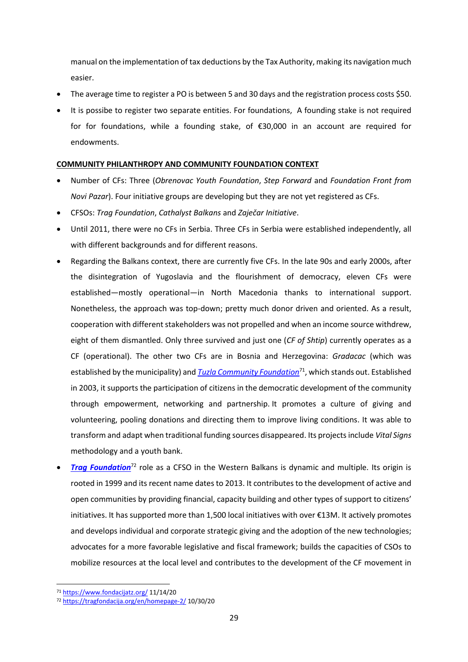manual on the implementation of tax deductions by the Tax Authority, making its navigation much easier.

- The average time to register a PO is between 5 and 30 days and the registration process costs \$50.
- It is possibe to register two separate entities. For foundations, A founding stake is not required for for foundations, while a founding stake, of €30,000 in an account are required for endowments.

#### **COMMUNITY PHILANTHROPY AND COMMUNITY FOUNDATION CONTEXT**

- Number of CFs: Three (*Obrenovac Youth Foundation*, *Step Forward* and *Foundation Front from Novi Pazar*). Four initiative groups are developing but they are not yet registered as CFs.
- CFSOs: *Trag Foundation*, *Cathalyst Balkans* and *Zaječar Initiative*.
- Until 2011, there were no CFs in Serbia. Three CFs in Serbia were established independently, all with different backgrounds and for different reasons.
- Regarding the Balkans context, there are currently five CFs. In the late 90s and early 2000s, after the disintegration of Yugoslavia and the flourishment of democracy, eleven CFs were established—mostly operational—in North Macedonia thanks to international support. Nonetheless, the approach was top-down; pretty much donor driven and oriented. As a result, cooperation with different stakeholders was not propelled and when an income source withdrew, eight of them dismantled. Only three survived and just one (*CF of Shtip*) currently operates as a CF (operational). The other two CFs are in Bosnia and Herzegovina: *Gradacac* (which was established by the municipality) and *[Tuzla Community](https://www.fondacijatz.org/) Foundation*<sup>71</sup>, which stands out. Established in 2003, it supports the participation of citizens in the democratic development of the community through empowerment, networking and partnership. It promotes a culture of giving and volunteering, pooling donations and directing them to improve living conditions. It was able to transform and adapt when traditional funding sources disappeared. Its projects include *Vital Signs* methodology and a youth bank.
- *[Trag Foundation](https://tragfondacija.org/en/homepage-2/)*<sup>72</sup> role as a CFSO in the Western Balkans is dynamic and multiple. Its origin is rooted in 1999 and its recent name dates to 2013. It contributes to the development of active and open communities by providing financial, capacity building and other types of support to citizens' initiatives. It has supported more than 1,500 local initiatives with over €13M. It actively promotes and develops individual and corporate strategic giving and the adoption of the new technologies; advocates for a more favorable legislative and fiscal framework; builds the capacities of CSOs to mobilize resources at the local level and contributes to the development of the CF movement in

<sup>71</sup> <https://www.fondacijatz.org/> 11/14/20

<sup>72</sup> <https://tragfondacija.org/en/homepage-2/> 10/30/20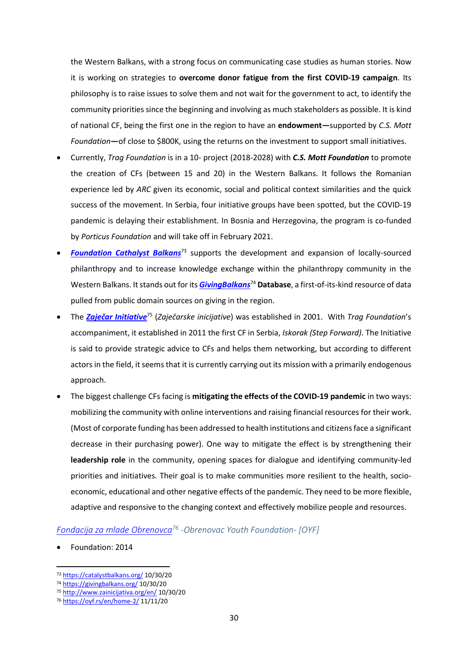the Western Balkans, with a strong focus on communicating case studies as human stories. Now it is working on strategies to **overcome donor fatigue from the first COVID-19 campaign**. Its philosophy is to raise issues to solve them and not wait for the government to act, to identify the community priorities since the beginning and involving as much stakeholders as possible. It is kind of national CF, being the first one in the region to have an **endowment—**supported by *C.S. Mott Foundation***—**of close to \$800K, using the returns on the investment to support small initiatives.

- Currently, *Trag Foundation* is in a 10- project (2018-2028) with *C.S. Mott Foundation* to promote the creation of CFs (between 15 and 20) in the Western Balkans. It follows the Romanian experience led by *ARC* given its economic, social and political context similarities and the quick success of the movement. In Serbia, four initiative groups have been spotted, but the COVID-19 pandemic is delaying their establishment. In Bosnia and Herzegovina, the program is co-funded by *Porticus Foundation* and will take off in February 2021.
- **[Foundation Cathalyst Balkans](https://catalystbalkans.org/)**<sup>73</sup> supports the development and expansion of locally-sourced philanthropy and to increase knowledge exchange within the philanthropy community in the Western Balkans. It stands out for its *[GivingBalkans](https://givingbalkans.org/)*<sup>74</sup> **Database**, a first-of-its-kind resource of data pulled from public domain sources on giving in the region.
- The *[Zaječar Initiative](http://www.zainicijativa.org/en/)*<sup>75</sup> (*Zaječarske inicijative*) was established in 2001. With *Trag Foundation*'s accompaniment, it established in 2011 the first CF in Serbia, *Iskorak (Step Forward)*. The Initiative is said to provide strategic advice to CFs and helps them networking, but according to different actors in the field, it seems that it is currently carrying out its mission with a primarily endogenous approach.
- The biggest challenge CFs facing is **mitigating the effects of the COVID-19 pandemic** in two ways: mobilizing the community with online interventions and raising financial resources for their work. (Most of corporate funding has been addressed to health institutions and citizens face a significant decrease in their purchasing power). One way to mitigate the effect is by strengthening their **leadership role** in the community, opening spaces for dialogue and identifying community-led priorities and initiatives. Their goal is to make communities more resilient to the health, socioeconomic, educational and other negative effects of the pandemic. They need to be more flexible, adaptive and responsive to the changing context and effectively mobilize people and resources.

### <span id="page-31-0"></span>*[Fondacija za mlade Obrenovca](https://oyf.rs/en/home-2/)<sup>76</sup> -Obrenovac Youth Foundation- [OYF]*

• Foundation: 2014

<sup>73</sup> <https://catalystbalkans.org/> 10/30/20

<sup>74</sup> <https://givingbalkans.org/> 10/30/20

<sup>75</sup> <http://www.zainicijativa.org/en/> 10/30/20

<sup>76</sup> <https://oyf.rs/en/home-2/> 11/11/20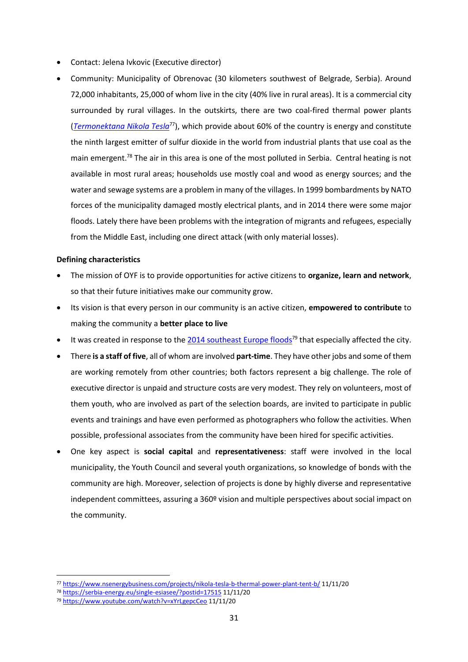- Contact: Jelena Ivkovic (Executive director)
- Community: Municipality of Obrenovac (30 kilometers southwest of Belgrade, Serbia). Around 72,000 inhabitants, 25,000 of whom live in the city (40% live in rural areas). It is a commercial city surrounded by rural villages. In the outskirts, there are two coal-fired thermal power plants (*[Termonektana Nikola Tesla](https://en.wikipedia.org/wiki/TPP_Nikola_Tesla)*<sup>77</sup>), which provide about 60% of the country is energy and constitute the ninth largest emitter of sulfur dioxide in the world from industrial plants that use coal as the main emergent.<sup>78</sup> The air in this area is one of the most polluted in Serbia. Central heating is not available in most rural areas; households use mostly coal and wood as energy sources; and the water and sewage systems are a problem in many of the villages. In 1999 bombardments by NATO forces of the municipality damaged mostly electrical plants, and in 2014 there were some major floods. Lately there have been problems with the integration of migrants and refugees, especially from the Middle East, including one direct attack (with only material losses).

#### **Defining characteristics**

- The mission of OYF is to provide opportunities for active citizens to **organize, learn and network**, so that their future initiatives make our community grow.
- Its vision is that every person in our community is an active citizen, **empowered to contribute** to making the community a **better place to live**
- It was created in response to the  $2014$  southeast Europe floods<sup>79</sup> that especially affected the city.
- There **is a staff of five**, all of whom are involved **part-time**. They have other jobs and some of them are working remotely from other countries; both factors represent a big challenge. The role of executive director is unpaid and structure costs are very modest. They rely on volunteers, most of them youth, who are involved as part of the selection boards, are invited to participate in public events and trainings and have even performed as photographers who follow the activities. When possible, professional associates from the community have been hired for specific activities.
- One key aspect is **social capital** and **representativeness**: staff were involved in the local municipality, the Youth Council and several youth organizations, so knowledge of bonds with the community are high. Moreover, selection of projects is done by highly diverse and representative independent committees, assuring a 360º vision and multiple perspectives about social impact on the community.

<sup>77</sup> <https://www.nsenergybusiness.com/projects/nikola-tesla-b-thermal-power-plant-tent-b/> 11/11/20

<sup>78</sup> <https://serbia-energy.eu/single-esiasee/?postid=17515> 11/11/20

<sup>79</sup> <https://www.youtube.com/watch?v=xYrLgepcCeo> 11/11/20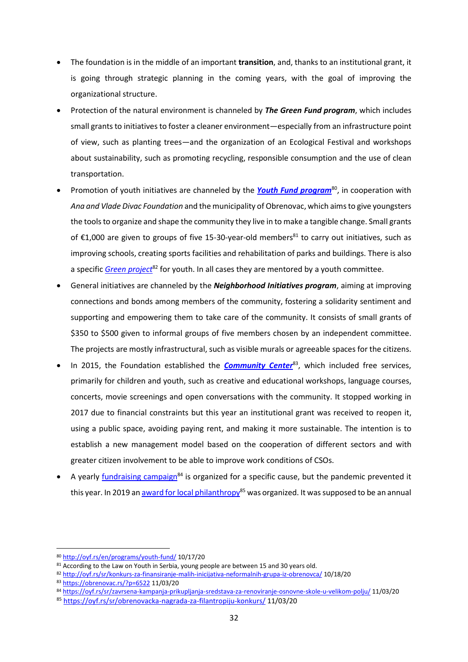- The foundation is in the middle of an important **transition**, and, thanks to an institutional grant, it is going through strategic planning in the coming years, with the goal of improving the organizational structure.
- Protection of the natural environment is channeled by *The Green Fund program*, which includes small grants to initiatives to foster a cleaner environment—especially from an infrastructure point of view, such as planting trees—and the organization of an Ecological Festival and workshops about sustainability, such as promoting recycling, responsible consumption and the use of clean transportation.
- Promotion of youth initiatives are channeled by the **[Youth Fund program](http://oyf.rs/en/programs/youth-fund/)**<sup>80</sup>, in cooperation with *Ana and Vlade Divac Foundation* and the municipality of Obrenovac, which aims to give youngsters the tools to organize and shape the community they live in to make a tangible change. Small grants of  $£1,000$  are given to groups of five 15-30-year-old members<sup>81</sup> to carry out initiatives, such as improving schools, creating sports facilities and rehabilitation of parks and buildings. There is also a specific *[Green project](http://oyf.rs/sr/konkurs-za-finansiranje-malih-inicijativa-neformalnih-grupa-iz-obrenovca/)<sup>82</sup>* for youth. In all cases they are mentored by a youth committee.
- General initiatives are channeled by the *Neighborhood Initiatives program*, aiming at improving connections and bonds among members of the community, fostering a solidarity sentiment and supporting and empowering them to take care of the community. It consists of small grants of \$350 to \$500 given to informal groups of five members chosen by an independent committee. The projects are mostly infrastructural, such as visible murals or agreeable spaces for the citizens.
- In 2015, the Foundation established the **[Community Center](https://obrenovac.rs/?p=6522)**<sup>83</sup>, which included free services, primarily for children and youth, such as creative and educational workshops, language courses, concerts, movie screenings and open conversations with the community. It stopped working in 2017 due to financial constraints but this year an institutional grant was received to reopen it, using a public space, avoiding paying rent, and making it more sustainable. The intention is to establish a new management model based on the cooperation of different sectors and with greater citizen involvement to be able to improve work conditions of CSOs.
- A yearly [fundraising campaign](https://oyf.rs/sr/zavrsena-kampanja-prikupljanja-sredstava-za-renoviranje-osnovne-skole-u-velikom-polju/)<sup>84</sup> is organized for a specific cause, but the pandemic prevented it this year. In 2019 a[n award for local philanthropy](https://oyf.rs/sr/obrenovacka-nagrada-za-filantropiju-konkurs/)<sup>85</sup> was organized. It was supposed to be an annual

<sup>80</sup> <http://oyf.rs/en/programs/youth-fund/> 10/17/20

<sup>81</sup> According to the Law on Youth in Serbia, young people are between 15 and 30 years old.

<sup>82</sup> <http://oyf.rs/sr/konkurs-za-finansiranje-malih-inicijativa-neformalnih-grupa-iz-obrenovca/> 10/18/20

<sup>83</sup> <https://obrenovac.rs/?p=6522> 11/03/20

<sup>84</sup> <https://oyf.rs/sr/zavrsena-kampanja-prikupljanja-sredstava-za-renoviranje-osnovne-skole-u-velikom-polju/> 11/03/20

<sup>85</sup> <https://oyf.rs/sr/obrenovacka-nagrada-za-filantropiju-konkurs/> 11/03/20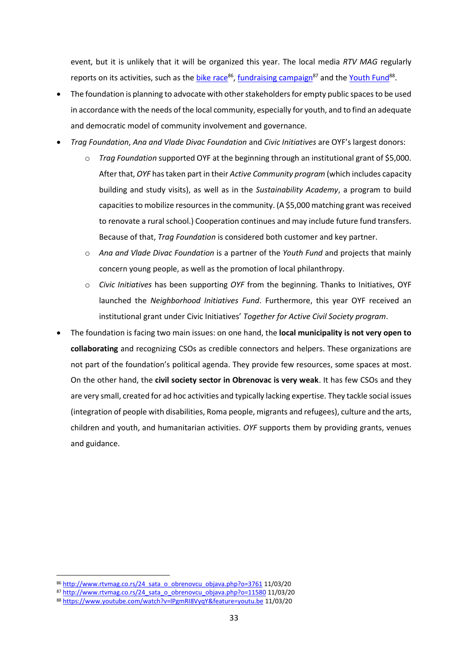event, but it is unlikely that it will be organized this year. The local media *RTV MAG* regularly reports on its activities, such as the *bike race*<sup>86</sup>, [fundraising campaign](http://www.rtvmag.co.rs/24_sata_o_obrenovcu_objava.php?o=11580)<sup>87</sup> and the [Youth Fund](https://www.youtube.com/watch?v=lPgmRI8VyqY&feature=youtu.be)<sup>88</sup>.

- The foundation is planning to advocate with other stakeholders for empty public spaces to be used in accordance with the needs of the local community, especially for youth, and to find an adequate and democratic model of community involvement and governance.
- *Trag Foundation*, *Ana and Vlade Divac Foundation* and *Civic Initiatives* are OYF's largest donors:
	- o *Trag Foundation* supported OYF at the beginning through an institutional grant of \$5,000. After that, *OYF* has taken part in their *Active Community program* (which includes capacity building and study visits), as well as in the *Sustainability Academy*, a program to build capacities to mobilize resources in the community. (A \$5,000 matching grant was received to renovate a rural school.) Cooperation continues and may include future fund transfers. Because of that, *Trag Foundation* is considered both customer and key partner.
	- o *Ana and Vlade Divac Foundation* is a partner of the *Youth Fund* and projects that mainly concern young people, as well as the promotion of local philanthropy.
	- o *Civic Initiatives* has been supporting *OYF* from the beginning. Thanks to Initiatives, OYF launched the *Neighborhood Initiatives Fund*. Furthermore, this year OYF received an institutional grant under Civic Initiatives' *Together for Active Civil Society program*.
- The foundation is facing two main issues: on one hand, the **local municipality is not very open to collaborating** and recognizing CSOs as credible connectors and helpers. These organizations are not part of the foundation's political agenda. They provide few resources, some spaces at most. On the other hand, the **civil society sector in Obrenovac is very weak**. It has few CSOs and they are very small, created for ad hoc activities and typically lacking expertise. They tackle social issues (integration of people with disabilities, Roma people, migrants and refugees), culture and the arts, children and youth, and humanitarian activities. *OYF* supports them by providing grants, venues and guidance.

<sup>86</sup> [http://www.rtvmag.co.rs/24\\_sata\\_o\\_obrenovcu\\_objava.php?o=3761](http://www.rtvmag.co.rs/24_sata_o_obrenovcu_objava.php?o=3761) 11/03/20

<sup>87</sup> [http://www.rtvmag.co.rs/24\\_sata\\_o\\_obrenovcu\\_objava.php?o=11580](http://www.rtvmag.co.rs/24_sata_o_obrenovcu_objava.php?o=11580) 11/03/20

<sup>88</sup> <https://www.youtube.com/watch?v=lPgmRI8VyqY&feature=youtu.be> 11/03/20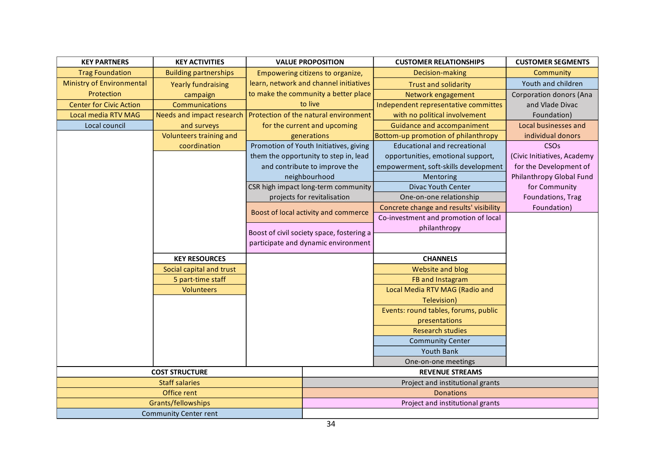| <b>KEY PARTNERS</b><br><b>KEY ACTIVITIES</b> |                              | <b>VALUE PROPOSITION</b>                  | <b>CUSTOMER RELATIONSHIPS</b>           | <b>CUSTOMER SEGMENTS</b>       |
|----------------------------------------------|------------------------------|-------------------------------------------|-----------------------------------------|--------------------------------|
| <b>Trag Foundation</b>                       | <b>Building partnerships</b> | Empowering citizens to organize,          | Decision-making                         | Community                      |
| <b>Ministry of Environmental</b>             | <b>Yearly fundraising</b>    | learn, network and channel initiatives    | <b>Trust and solidarity</b>             | Youth and children             |
| Protection                                   | campaign                     | to make the community a better place      | Network engagement                      | <b>Corporation donors (Ana</b> |
| <b>Center for Civic Action</b>               | Communications               | to live                                   | Independent representative committes    | and Vlade Divac                |
| Local media RTV MAG                          | Needs and impact research    | Protection of the natural environment     | with no political involvement           | Foundation)                    |
| Local council                                | and surveys                  | for the current and upcoming              | Guidance and accompaniment              | Local businesses and           |
|                                              | Volunteers training and      | generations                               | Bottom-up promotion of philanthropy     | individual donors              |
|                                              | coordination                 | Promotion of Youth Initiatives, giving    | <b>Educational and recreational</b>     | <b>CSO<sub>s</sub></b>         |
|                                              |                              | them the opportunity to step in, lead     | opportunities, emotional support,       | (Civic Initiatives, Academy    |
|                                              |                              | and contribute to improve the             | empowerment, soft-skills development    | for the Development of         |
|                                              |                              | neighbourhood                             | Mentoring                               | Philanthropy Global Fund       |
|                                              |                              | CSR high impact long-term community       | Divac Youth Center                      | for Community                  |
|                                              |                              | projects for revitalisation               | One-on-one relationship                 | Foundations, Trag              |
|                                              |                              | Boost of local activity and commerce      | Concrete change and results' visibility | Foundation)                    |
|                                              |                              |                                           | Co-investment and promotion of local    |                                |
|                                              |                              | Boost of civil society space, fostering a | philanthropy                            |                                |
|                                              |                              | participate and dynamic environment       |                                         |                                |
|                                              |                              |                                           |                                         |                                |
|                                              | <b>KEY RESOURCES</b>         |                                           | <b>CHANNELS</b>                         |                                |
|                                              | Social capital and trust     |                                           | Website and blog                        |                                |
|                                              | 5 part-time staff            |                                           | FB and Instagram                        |                                |
|                                              | <b>Volunteers</b>            |                                           | Local Media RTV MAG (Radio and          |                                |
|                                              |                              |                                           | Television)                             |                                |
|                                              |                              |                                           | Events: round tables, forums, public    |                                |
|                                              |                              |                                           | presentations                           |                                |
|                                              |                              |                                           | <b>Research studies</b>                 |                                |
|                                              |                              |                                           | <b>Community Center</b>                 |                                |
|                                              |                              |                                           | <b>Youth Bank</b>                       |                                |
|                                              |                              |                                           | One-on-one meetings                     |                                |
|                                              | <b>COST STRUCTURE</b>        |                                           | <b>REVENUE STREAMS</b>                  |                                |
|                                              | <b>Staff salaries</b>        |                                           | Project and institutional grants        |                                |
|                                              | Office rent                  |                                           | <b>Donations</b>                        |                                |
|                                              | Grants/fellowships           |                                           | Project and institutional grants        |                                |
|                                              | <b>Community Center rent</b> |                                           |                                         |                                |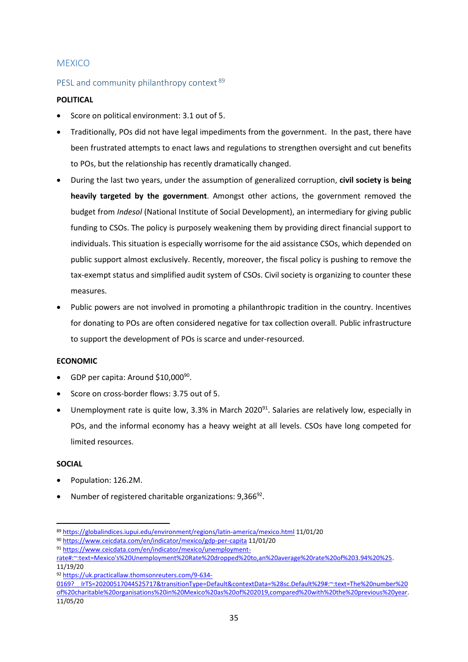### <span id="page-36-0"></span>**MEXICO**

### <span id="page-36-1"></span>PESL and community philanthropy context <sup>89</sup>

#### **POLITICAL**

- Score on political environment: 3.1 out of 5.
- Traditionally, POs did not have legal impediments from the government. In the past, there have been frustrated attempts to enact laws and regulations to strengthen oversight and cut benefits to POs, but the relationship has recently dramatically changed.
- During the last two years, under the assumption of generalized corruption, **civil society is being heavily targeted by the government**. Amongst other actions, the government removed the budget from *Indesol* (National Institute of Social Development), an intermediary for giving public funding to CSOs. The policy is purposely weakening them by providing direct financial support to individuals. This situation is especially worrisome for the aid assistance CSOs, which depended on public support almost exclusively. Recently, moreover, the fiscal policy is pushing to remove the tax-exempt status and simplified audit system of CSOs. Civil society is organizing to counter these measures.
- Public powers are not involved in promoting a philanthropic tradition in the country. Incentives for donating to POs are often considered negative for tax collection overall. Public infrastructure to support the development of POs is scarce and under-resourced.

#### **ECONOMIC**

- GDP per capita: Around \$10,000<sup>90</sup>.
- Score on cross-border flows: 3.75 out of 5.
- Unemployment rate is quite low, 3.3% in March 2020<sup>91</sup>. Salaries are relatively low, especially in POs, and the informal economy has a heavy weight at all levels. CSOs have long competed for limited resources.

#### **SOCIAL**

- Population: 126.2M.
- Number of registered charitable organizations: 9,366<sup>92</sup>.

<sup>89</sup> <https://globalindices.iupui.edu/environment/regions/latin-america/mexico.html> 11/01/20

<sup>90</sup> <https://www.ceicdata.com/en/indicator/mexico/gdp-per-capita> 11/01/20

<sup>91</sup> [https://www.ceicdata.com/en/indicator/mexico/unemployment-](https://www.ceicdata.com/en/indicator/mexico/unemployment-rate#:~:text=Mexico)

[rate#:~:text=Mexico's%20Unemployment%20Rate%20dropped%20to,an%20average%20rate%20of%203.94%20%25.](https://www.ceicdata.com/en/indicator/mexico/unemployment-rate#:~:text=Mexico) 11/19/20

<sup>92</sup> [https://uk.practicallaw.thomsonreuters.com/9-634-](https://uk.practicallaw.thomsonreuters.com/9-634-0169?__lrTS=20200517044525717&transitionType=Default&contextData=%28sc.Default%29#:~:text=The%20number%20of%20charitable%20organisations%20in%20Mexico%20as%20of%202019,compared%20with%20the%20previous%20year)

[<sup>0169?</sup>\\_\\_lrTS=20200517044525717&transitionType=Default&contextData=%28sc.Default%29#:~:text=The%20number%20](https://uk.practicallaw.thomsonreuters.com/9-634-0169?__lrTS=20200517044525717&transitionType=Default&contextData=%28sc.Default%29#:~:text=The%20number%20of%20charitable%20organisations%20in%20Mexico%20as%20of%202019,compared%20with%20the%20previous%20year) [of%20charitable%20organisations%20in%20Mexico%20as%20of%202019,compared%20with%20the%20previous%20year.](https://uk.practicallaw.thomsonreuters.com/9-634-0169?__lrTS=20200517044525717&transitionType=Default&contextData=%28sc.Default%29#:~:text=The%20number%20of%20charitable%20organisations%20in%20Mexico%20as%20of%202019,compared%20with%20the%20previous%20year)  11/05/20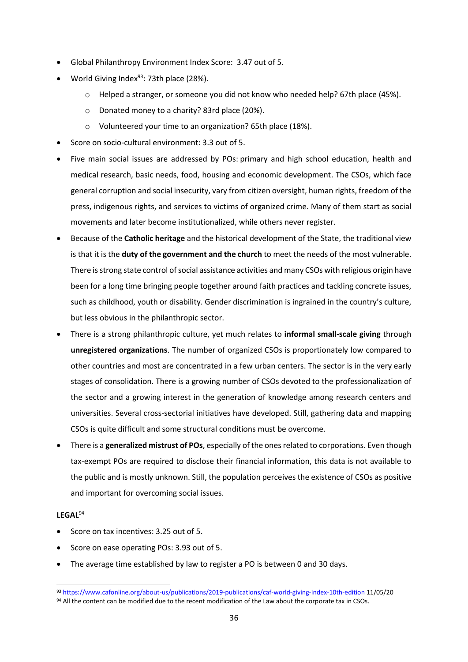- Global Philanthropy Environment Index Score: 3.47 out of 5.
- World Giving Index $93$ : 73th place (28%).
	- o Helped a stranger, or someone you did not know who needed help? 67th place (45%).
	- o Donated money to a charity? 83rd place (20%).
	- o Volunteered your time to an organization? 65th place (18%).
- Score on socio-cultural environment: 3.3 out of 5.
- Five main social issues are addressed by POs: primary and high school education, health and medical research, basic needs, food, housing and economic development. The CSOs, which face general corruption and social insecurity, vary from citizen oversight, human rights, freedom of the press, indigenous rights, and services to victims of organized crime. Many of them start as social movements and later become institutionalized, while others never register.
- Because of the **Catholic heritage** and the historical development of the State, the traditional view is that it is the **duty of the government and the church** to meet the needs of the most vulnerable. There is strong state control of social assistance activities and many CSOs with religious origin have been for a long time bringing people together around faith practices and tackling concrete issues, such as childhood, youth or disability. Gender discrimination is ingrained in the country's culture, but less obvious in the philanthropic sector.
- There is a strong philanthropic culture, yet much relates to **informal small-scale giving** through **unregistered organizations**. The number of organized CSOs is proportionately low compared to other countries and most are concentrated in a few urban centers. The sector is in the very early stages of consolidation. There is a growing number of CSOs devoted to the professionalization of the sector and a growing interest in the generation of knowledge among research centers and universities. Several cross-sectorial initiatives have developed. Still, gathering data and mapping CSOs is quite difficult and some structural conditions must be overcome.
- There is a **generalized mistrust of POs**, especially of the ones related to corporations. Even though tax-exempt POs are required to disclose their financial information, this data is not available to the public and is mostly unknown. Still, the population perceives the existence of CSOs as positive and important for overcoming social issues.

#### **LEGAL**<sup>94</sup>

- Score on tax incentives: 3.25 out of 5.
- Score on ease operating POs: 3.93 out of 5.
- The average time established by law to register a PO is between 0 and 30 days.

<sup>93</sup> <https://www.cafonline.org/about-us/publications/2019-publications/caf-world-giving-index-10th-edition> 11/05/20 94 All the content can be modified due to the recent modification of the Law about the corporate tax in CSOs.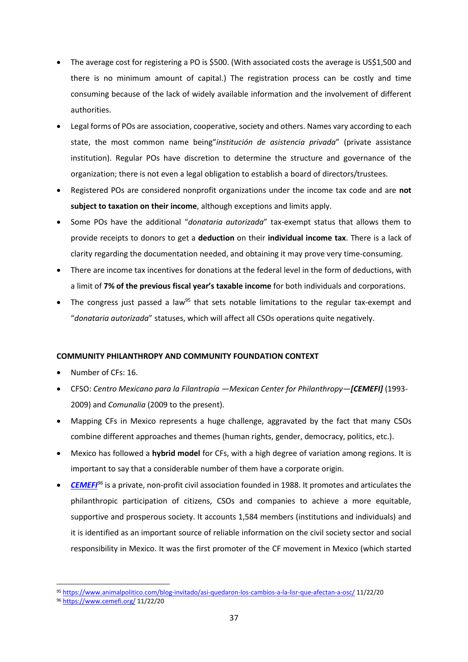- The average cost for registering a PO is \$500. (With associated costs the average is US\$1,500 and there is no minimum amount of capital.) The registration process can be costly and time consuming because of the lack of widely available information and the involvement of different authorities.
- Legal forms of POs are association, cooperative, society and others. Names vary according to each state, the most common name being"*institución de asistencia privada*" (private assistance institution). Regular POs have discretion to determine the structure and governance of the organization; there is not even a legal obligation to establish a board of directors/trustees.
- Registered POs are considered nonprofit organizations under the income tax code and are **not subject to taxation on their income**, although exceptions and limits apply.
- Some POs have the additional "*donataria autorizada*" tax-exempt status that allows them to provide receipts to donors to get a **deduction** on their **individual income tax**. There is a lack of clarity regarding the documentation needed, and obtaining it may prove very time-consuming.
- There are income tax incentives for donations at the federal level in the form of deductions, with a limit of **7% of the previous fiscal year's taxable income** for both individuals and corporations.
- The congress just passed a law<sup>95</sup> that sets notable limitations to the regular tax-exempt and "*donataria autorizada*" statuses, which will affect all CSOs operations quite negatively.

### **COMMUNITY PHILANTHROPY AND COMMUNITY FOUNDATION CONTEXT**

- Number of CFs: 16.
- CFSO: *Centro Mexicano para la Filantropía —Mexican Center for Philanthropy—[CEMEFI]* (1993- 2009) and *Comunalia* (2009 to the present).
- Mapping CFs in Mexico represents a huge challenge, aggravated by the fact that many CSOs combine different approaches and themes (human rights, gender, democracy, politics, etc.).
- Mexico has followed a **hybrid model** for CFs, with a high degree of variation among regions. It is important to say that a considerable number of them have a corporate origin.
- *[CEMEFI](https://www.cemefi.org/)<sup>96</sup>* is a private, non-profit civil association founded in 1988. It promotes and articulates the philanthropic participation of citizens, CSOs and companies to achieve a more equitable, supportive and prosperous society. It accounts 1,584 members (institutions and individuals) and it is identified as an important source of reliable information on the civil society sector and social responsibility in Mexico. It was the first promoter of the CF movement in Mexico (which started

<sup>95</sup> <https://www.animalpolitico.com/blog-invitado/asi-quedaron-los-cambios-a-la-lisr-que-afectan-a-osc/> 11/22/20

<sup>96</sup> <https://www.cemefi.org/> 11/22/20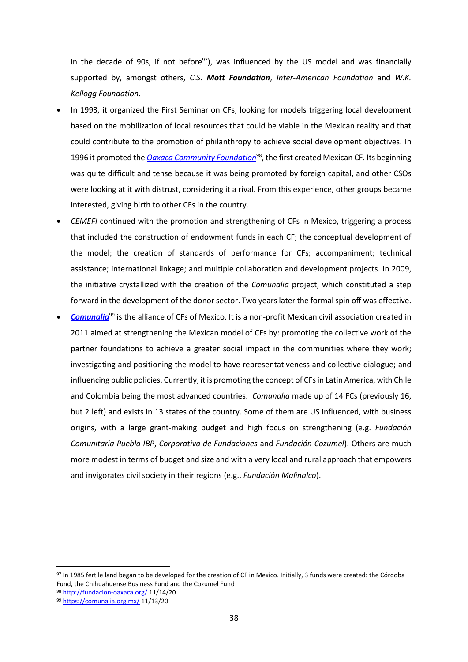in the decade of 90s, if not before $97$ ), was influenced by the US model and was financially supported by, amongst others, *C.S. Mott Foundation*, *Inter-American Foundation* and *W.K. Kellogg Foundation*.

- In 1993, it organized the First Seminar on CFs, looking for models triggering local development based on the mobilization of local resources that could be viable in the Mexican reality and that could contribute to the promotion of philanthropy to achieve social development objectives. In 1996 it promoted the *[Oaxaca Community Foundation](http://fundacion-oaxaca.org/)*<sup>98</sup>, the first created Mexican CF. Its beginning was quite difficult and tense because it was being promoted by foreign capital, and other CSOs were looking at it with distrust, considering it a rival. From this experience, other groups became interested, giving birth to other CFs in the country.
- *CEMEFI* continued with the promotion and strengthening of CFs in Mexico, triggering a process that included the construction of endowment funds in each CF; the conceptual development of the model; the creation of standards of performance for CFs; accompaniment; technical assistance; international linkage; and multiple collaboration and development projects. In 2009, the initiative crystallized with the creation of the *Comunalia* project, which constituted a step forward in the development of the donor sector. Two years later the formal spin off was effective.
- *[Comunalia](https://comunalia.org.mx/)*<sup>99</sup> is the alliance of CFs of Mexico. It is a non-profit Mexican civil association created in 2011 aimed at strengthening the Mexican model of CFs by: promoting the collective work of the partner foundations to achieve a greater social impact in the communities where they work; investigating and positioning the model to have representativeness and collective dialogue; and influencing public policies. Currently, it is promoting the concept of CFs in Latin America, with Chile and Colombia being the most advanced countries. *Comunalia* made up of 14 FCs (previously 16, but 2 left) and exists in 13 states of the country. Some of them are US influenced, with business origins, with a large grant-making budget and high focus on strengthening (e.g. *Fundación Comunitaria Puebla IBP*, *Corporativa de Fundaciones* and *Fundación Cozumel*). Others are much more modest in terms of budget and size and with a very local and rural approach that empowers and invigorates civil society in their regions (e.g., *Fundación Malinalco*).

<sup>97</sup> In 1985 fertile land began to be developed for the creation of CF in Mexico. Initially, 3 funds were created: the Córdoba Fund, the Chihuahuense Business Fund and the Cozumel Fund

<sup>98</sup> <http://fundacion-oaxaca.org/> 11/14/20

<sup>99</sup> <https://comunalia.org.mx/> 11/13/20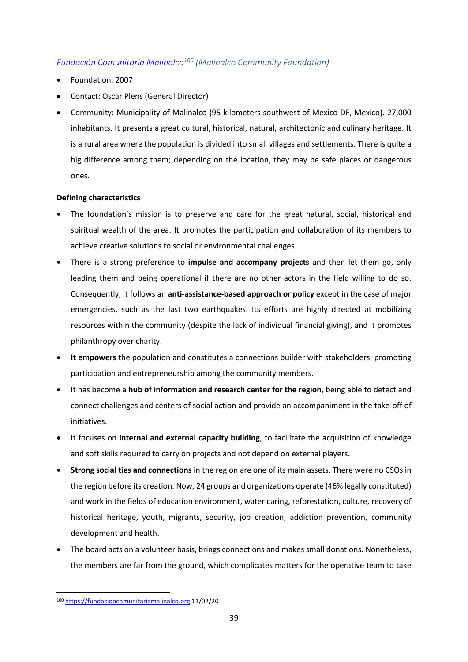### <span id="page-40-0"></span>*[Fundación Comunitaria Malinalco](https://fundacioncomunitariamalinalco.org/)<sup>100</sup> (Malinalco Community Foundation)*

- Foundation: 2007
- Contact: Oscar Plens (General Director)
- Community: Municipality of Malinalco (95 kilometers southwest of Mexico DF, Mexico). 27,000 inhabitants. It presents a great cultural, historical, natural, architectonic and culinary heritage. It is a rural area where the population is divided into small villages and settlements. There is quite a big difference among them; depending on the location, they may be safe places or dangerous ones.

### **Defining characteristics**

- The foundation's mission is to preserve and care for the great natural, social, historical and spiritual wealth of the area. It promotes the participation and collaboration of its members to achieve creative solutions to social or environmental challenges.
- There is a strong preference to **impulse and accompany projects** and then let them go, only leading them and being operational if there are no other actors in the field willing to do so. Consequently, it follows an **anti-assistance-based approach or policy** except in the case of major emergencies, such as the last two earthquakes. Its efforts are highly directed at mobilizing resources within the community (despite the lack of individual financial giving), and it promotes philanthropy over charity.
- **It empowers** the population and constitutes a connections builder with stakeholders, promoting participation and entrepreneurship among the community members.
- It has become a **hub of information and research center for the region**, being able to detect and connect challenges and centers of social action and provide an accompaniment in the take-off of initiatives.
- It focuses on **internal and external capacity building**, to facilitate the acquisition of knowledge and soft skills required to carry on projects and not depend on external players.
- **Strong social ties and connections** in the region are one of its main assets. There were no CSOs in the region before its creation. Now, 24 groups and organizations operate (46% legally constituted) and work in the fields of education environment, water caring, reforestation, culture, recovery of historical heritage, youth, migrants, security, job creation, addiction prevention, community development and health.
- The board acts on a volunteer basis, brings connections and makes small donations. Nonetheless, the members are far from the ground, which complicates matters for the operative team to take

<sup>100</sup> [https://fundacioncomunitariamalinalco.org](https://fundacioncomunitariamalinalco.org/) 11/02/20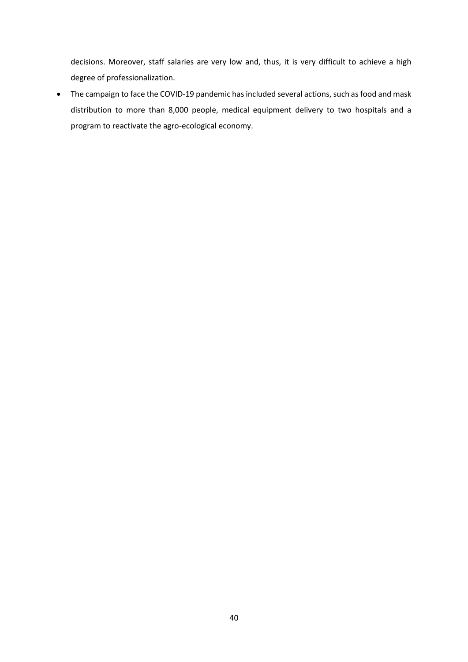decisions. Moreover, staff salaries are very low and, thus, it is very difficult to achieve a high degree of professionalization.

• The campaign to face the COVID-19 pandemic has included several actions, such as food and mask distribution to more than 8,000 people, medical equipment delivery to two hospitals and a program to reactivate the agro-ecological economy.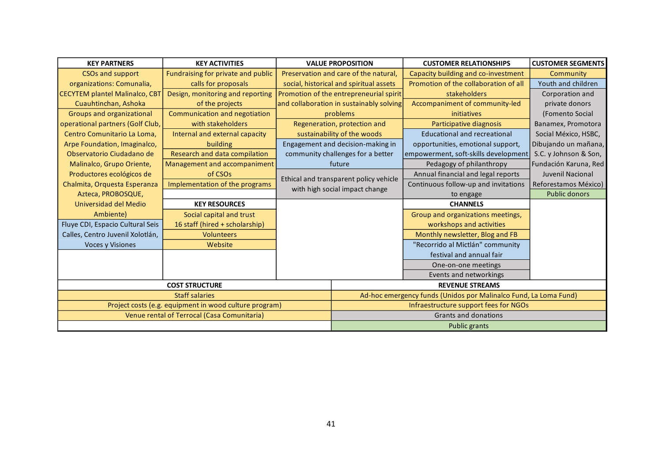| <b>KEY PARTNERS</b>                   | <b>KEY ACTIVITIES</b>                                  | <b>VALUE PROPOSITION</b>                 | <b>CUSTOMER RELATIONSHIPS</b>                                    | <b>CUSTOMER SEGMENTS</b> |  |  |
|---------------------------------------|--------------------------------------------------------|------------------------------------------|------------------------------------------------------------------|--------------------------|--|--|
| <b>CSOs and support</b>               | Fundraising for private and public                     | Preservation and care of the natural,    | Capacity building and co-investment                              | Community                |  |  |
| organizations: Comunalia,             | calls for proposals                                    | social, historical and spiritual assets  | Promotion of the collaboration of all                            | Youth and children       |  |  |
| <b>CECYTEM plantel Malinalco, CBT</b> | Design, monitoring and reporting                       | Promotion of the entrepreneurial spirit  | stakeholders                                                     | Corporation and          |  |  |
| Cuauhtinchan, Ashoka                  | of the projects                                        | and collaboration in sustainably solving | Accompaniment of community-led                                   | private donors           |  |  |
| Groups and organizational             | Communication and negotiation                          | problems                                 | initiatives                                                      | (Fomento Social          |  |  |
| operational partners (Golf Club,      | with stakeholders                                      | Regeneration, protection and             | Participative diagnosis                                          | Banamex, Promotora       |  |  |
| Centro Comunitario La Loma,           | Internal and external capacity                         | sustainability of the woods              | <b>Educational and recreational</b>                              | Social México, HSBC,     |  |  |
| Arpe Foundation, Imaginalco,          | building                                               | Engagement and decision-making in        | opportunities, emotional support,                                | Dibujando un mañana,     |  |  |
| Observatorio Ciudadano de             | Research and data compilation                          | community challenges for a better        | empowerment, soft-skills development                             | S.C. y Johnson & Son,    |  |  |
| Malinalco, Grupo Oriente,             | Management and accompaniment                           | future                                   | Pedagogy of philanthropy                                         | Fundación Karuna, Red    |  |  |
| Productores ecológicos de             | of CSO <sub>s</sub>                                    | Ethical and transparent policy vehicle   | Annual financial and legal reports                               | Juvenil Nacional         |  |  |
| Chalmita, Orquesta Esperanza          | Implementation of the programs                         | with high social impact change           | Continuous follow-up and invitations                             | Reforestamos México)     |  |  |
| Azteca, PROBOSQUE,                    |                                                        |                                          | to engage                                                        | <b>Public donors</b>     |  |  |
| Universidad del Medio                 | <b>KEY RESOURCES</b>                                   |                                          | <b>CHANNELS</b>                                                  |                          |  |  |
| Ambiente)                             | Social capital and trust                               |                                          | Group and organizations meetings,                                |                          |  |  |
| Fluye CDI, Espacio Cultural Seis      | 16 staff (hired + scholarship)                         |                                          | workshops and activities                                         |                          |  |  |
| Calles, Centro Juvenil Xolotlán,      | <b>Volunteers</b>                                      |                                          | Monthly newsletter, Blog and FB                                  |                          |  |  |
| <b>Voces y Visiones</b>               | Website                                                |                                          | "Recorrido al Mictlán" community                                 |                          |  |  |
|                                       |                                                        |                                          | festival and annual fair                                         |                          |  |  |
|                                       |                                                        |                                          | One-on-one meetings                                              |                          |  |  |
|                                       |                                                        |                                          | Events and networkings                                           |                          |  |  |
|                                       | <b>COST STRUCTURE</b>                                  |                                          | <b>REVENUE STREAMS</b>                                           |                          |  |  |
|                                       | <b>Staff salaries</b>                                  |                                          | Ad-hoc emergency funds (Unidos por Malinalco Fund, La Loma Fund) |                          |  |  |
|                                       | Project costs (e.g. equipment in wood culture program) | Infraestructure support fees for NGOs    |                                                                  |                          |  |  |
|                                       | Venue rental of Terrocal (Casa Comunitaria)            | Grants and donations                     |                                                                  |                          |  |  |
|                                       |                                                        | <b>Public grants</b>                     |                                                                  |                          |  |  |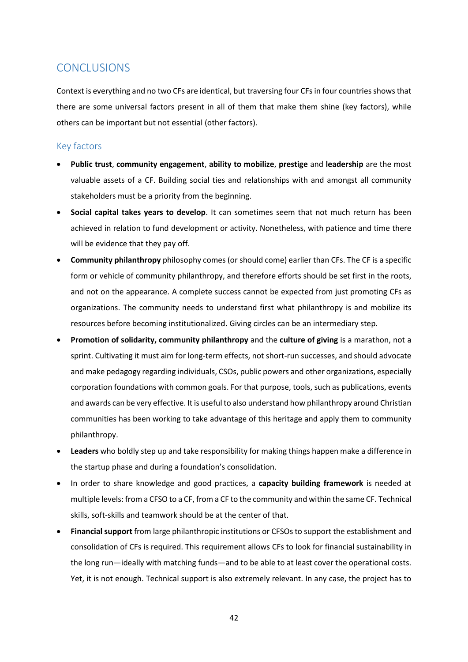## <span id="page-43-0"></span>**CONCLUSIONS**

Context is everything and no two CFs are identical, but traversing four CFs in four countries shows that there are some universal factors present in all of them that make them shine (key factors), while others can be important but not essential (other factors).

### <span id="page-43-1"></span>Key factors

- **Public trust**, **community engagement**, **ability to mobilize**, **prestige** and **leadership** are the most valuable assets of a CF. Building social ties and relationships with and amongst all community stakeholders must be a priority from the beginning.
- **Social capital takes years to develop**. It can sometimes seem that not much return has been achieved in relation to fund development or activity. Nonetheless, with patience and time there will be evidence that they pay off.
- **Community philanthropy** philosophy comes (or should come) earlier than CFs. The CF is a specific form or vehicle of community philanthropy, and therefore efforts should be set first in the roots, and not on the appearance. A complete success cannot be expected from just promoting CFs as organizations. The community needs to understand first what philanthropy is and mobilize its resources before becoming institutionalized. Giving circles can be an intermediary step.
- **Promotion of solidarity, community philanthropy** and the **culture of giving** is a marathon, not a sprint. Cultivating it must aim for long-term effects, not short-run successes, and should advocate and make pedagogy regarding individuals, CSOs, public powers and other organizations, especially corporation foundations with common goals. For that purpose, tools, such as publications, events and awards can be very effective. It is useful to also understand how philanthropy around Christian communities has been working to take advantage of this heritage and apply them to community philanthropy.
- **Leaders** who boldly step up and take responsibility for making things happen make a difference in the startup phase and during a foundation's consolidation.
- In order to share knowledge and good practices, a **capacity building framework** is needed at multiple levels: from a CFSO to a CF, from a CF to the community and within the same CF. Technical skills, soft-skills and teamwork should be at the center of that.
- **Financial support** from large philanthropic institutions or CFSOs to support the establishment and consolidation of CFs is required. This requirement allows CFs to look for financial sustainability in the long run—ideally with matching funds—and to be able to at least cover the operational costs. Yet, it is not enough. Technical support is also extremely relevant. In any case, the project has to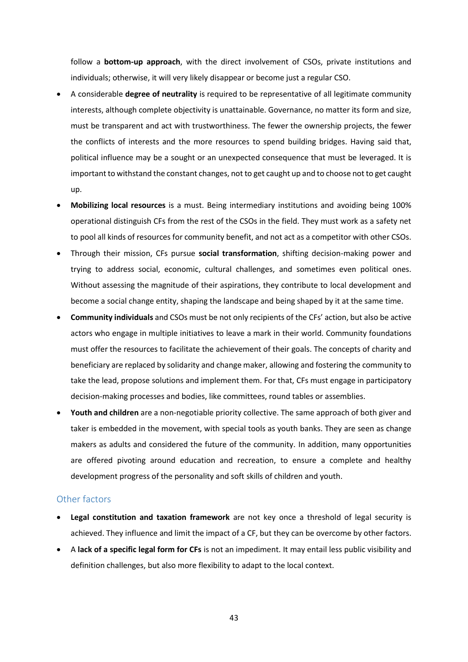follow a **bottom-up approach**, with the direct involvement of CSOs, private institutions and individuals; otherwise, it will very likely disappear or become just a regular CSO.

- A considerable **degree of neutrality** is required to be representative of all legitimate community interests, although complete objectivity is unattainable. Governance, no matter its form and size, must be transparent and act with trustworthiness. The fewer the ownership projects, the fewer the conflicts of interests and the more resources to spend building bridges. Having said that, political influence may be a sought or an unexpected consequence that must be leveraged. It is important to withstand the constant changes, not to get caught up and to choose not to get caught up.
- **Mobilizing local resources** is a must. Being intermediary institutions and avoiding being 100% operational distinguish CFs from the rest of the CSOs in the field. They must work as a safety net to pool all kinds of resources for community benefit, and not act as a competitor with other CSOs.
- Through their mission, CFs pursue **social transformation**, shifting decision-making power and trying to address social, economic, cultural challenges, and sometimes even political ones. Without assessing the magnitude of their aspirations, they contribute to local development and become a social change entity, shaping the landscape and being shaped by it at the same time.
- **Community individuals** and CSOs must be not only recipients of the CFs' action, but also be active actors who engage in multiple initiatives to leave a mark in their world. Community foundations must offer the resources to facilitate the achievement of their goals. The concepts of charity and beneficiary are replaced by solidarity and change maker, allowing and fostering the community to take the lead, propose solutions and implement them. For that, CFs must engage in participatory decision-making processes and bodies, like committees, round tables or assemblies.
- **Youth and children** are a non-negotiable priority collective. The same approach of both giver and taker is embedded in the movement, with special tools as youth banks. They are seen as change makers as adults and considered the future of the community. In addition, many opportunities are offered pivoting around education and recreation, to ensure a complete and healthy development progress of the personality and soft skills of children and youth.

### <span id="page-44-0"></span>Other factors

- **Legal constitution and taxation framework** are not key once a threshold of legal security is achieved. They influence and limit the impact of a CF, but they can be overcome by other factors.
- A **lack of a specific legal form for CFs** is not an impediment. It may entail less public visibility and definition challenges, but also more flexibility to adapt to the local context.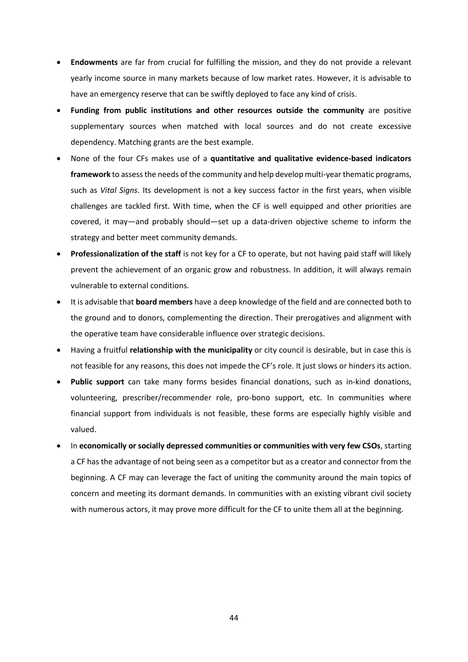- **Endowments** are far from crucial for fulfilling the mission, and they do not provide a relevant yearly income source in many markets because of low market rates. However, it is advisable to have an emergency reserve that can be swiftly deployed to face any kind of crisis.
- **Funding from public institutions and other resources outside the community** are positive supplementary sources when matched with local sources and do not create excessive dependency. Matching grants are the best example.
- None of the four CFs makes use of a **quantitative and qualitative evidence-based indicators framework** to assess the needs of the community and help develop multi-year thematic programs, such as *Vital Signs*. Its development is not a key success factor in the first years, when visible challenges are tackled first. With time, when the CF is well equipped and other priorities are covered, it may—and probably should—set up a data-driven objective scheme to inform the strategy and better meet community demands.
- **Professionalization of the staff** is not key for a CF to operate, but not having paid staff will likely prevent the achievement of an organic grow and robustness. In addition, it will always remain vulnerable to external conditions.
- It is advisable that **board members** have a deep knowledge of the field and are connected both to the ground and to donors, complementing the direction. Their prerogatives and alignment with the operative team have considerable influence over strategic decisions.
- Having a fruitful **relationship with the municipality** or city council is desirable, but in case this is not feasible for any reasons, this does not impede the CF's role. It just slows or hinders its action.
- **Public support** can take many forms besides financial donations, such as in-kind donations, volunteering, prescriber/recommender role, pro-bono support, etc. In communities where financial support from individuals is not feasible, these forms are especially highly visible and valued.
- In **economically or socially depressed communities or communities with very few CSOs**, starting a CF has the advantage of not being seen as a competitor but as a creator and connector from the beginning. A CF may can leverage the fact of uniting the community around the main topics of concern and meeting its dormant demands. In communities with an existing vibrant civil society with numerous actors, it may prove more difficult for the CF to unite them all at the beginning.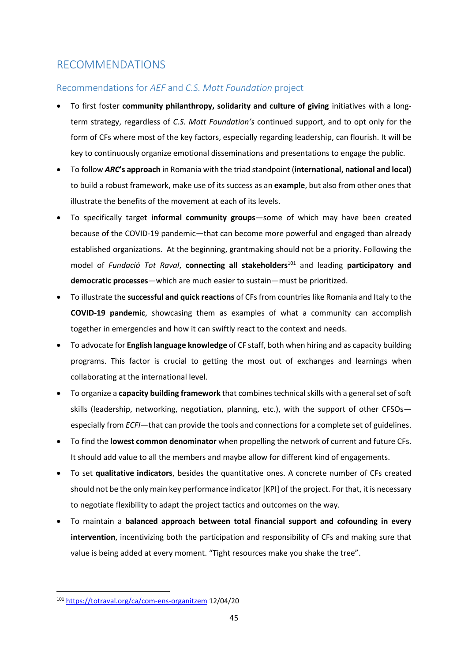# <span id="page-46-0"></span>RECOMMENDATIONS

### <span id="page-46-1"></span>Recommendations for *AEF* and *C.S. Mott Foundation* project

- To first foster **community philanthropy, solidarity and culture of giving** initiatives with a longterm strategy, regardless of *C.S. Mott Foundation's* continued support, and to opt only for the form of CFs where most of the key factors, especially regarding leadership, can flourish. It will be key to continuously organize emotional disseminations and presentations to engage the public.
- To follow *ARC***'s approach** in Romania with the triad standpoint (**international, national and local)** to build a robust framework, make use of its success as an **example**, but also from other ones that illustrate the benefits of the movement at each of its levels.
- To specifically target **informal community groups**—some of which may have been created because of the COVID-19 pandemic—that can become more powerful and engaged than already established organizations. At the beginning, grantmaking should not be a priority. Following the model of *Fundació Tot Raval*, **connecting all stakeholders**<sup>101</sup> and leading **participatory and democratic processes**—which are much easier to sustain—must be prioritized.
- To illustrate the **successful and quick reactions** of CFs from countries like Romania and Italy to the **COVID-19 pandemic**, showcasing them as examples of what a community can accomplish together in emergencies and how it can swiftly react to the context and needs.
- To advocate for **English language knowledge** of CF staff, both when hiring and as capacity building programs. This factor is crucial to getting the most out of exchanges and learnings when collaborating at the international level.
- To organize a **capacity building framework** that combines technical skills with a general set of soft skills (leadership, networking, negotiation, planning, etc.), with the support of other CFSOs especially from *ECFI*—that can provide the tools and connections for a complete set of guidelines.
- To find the **lowest common denominator** when propelling the network of current and future CFs. It should add value to all the members and maybe allow for different kind of engagements.
- To set **qualitative indicators**, besides the quantitative ones. A concrete number of CFs created should not be the only main key performance indicator [KPI] of the project. For that, it is necessary to negotiate flexibility to adapt the project tactics and outcomes on the way.
- To maintain a **balanced approach between total financial support and cofounding in every intervention**, incentivizing both the participation and responsibility of CFs and making sure that value is being added at every moment. "Tight resources make you shake the tree".

<sup>101</sup> <https://totraval.org/ca/com-ens-organitzem> 12/04/20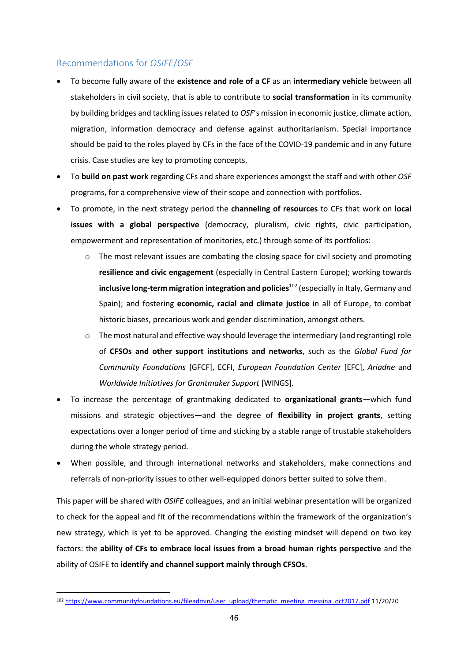### <span id="page-47-0"></span>Recommendations for *OSIFE*/*OSF*

- To become fully aware of the **existence and role of a CF** as an **intermediary vehicle** between all stakeholders in civil society, that is able to contribute to **social transformation** in its community by building bridges and tackling issues related to *OSF*'s mission in economic justice, climate action, migration, information democracy and defense against authoritarianism. Special importance should be paid to the roles played by CFs in the face of the COVID-19 pandemic and in any future crisis. Case studies are key to promoting concepts.
- To **build on past work** regarding CFs and share experiences amongst the staff and with other *OSF*  programs, for a comprehensive view of their scope and connection with portfolios.
- To promote, in the next strategy period the **channeling of resources** to CFs that work on **local issues with a global perspective** (democracy, pluralism, civic rights, civic participation, empowerment and representation of monitories, etc.) through some of its portfolios:
	- o The most relevant issues are combating the closing space for civil society and promoting **resilience and civic engagement** (especially in Central Eastern Europe); working towards **inclusive long-term migration integration and policies**<sup>102</sup> (especially in Italy, Germany and Spain); and fostering **economic, racial and climate justice** in all of Europe, to combat historic biases, precarious work and gender discrimination, amongst others.
	- o The most natural and effective way should leverage the intermediary (and regranting) role of **CFSOs and other support institutions and networks**, such as the *Global Fund for Community Foundations* [GFCF], ECFI, *European Foundation Center* [EFC], *Ariadne* and *Worldwide Initiatives for Grantmaker Support* [WINGS].
- To increase the percentage of grantmaking dedicated to **organizational grants**—which fund missions and strategic objectives—and the degree of **flexibility in project grants**, setting expectations over a longer period of time and sticking by a stable range of trustable stakeholders during the whole strategy period.
- When possible, and through international networks and stakeholders, make connections and referrals of non-priority issues to other well-equipped donors better suited to solve them.

This paper will be shared with *OSIFE* colleagues, and an initial webinar presentation will be organized to check for the appeal and fit of the recommendations within the framework of the organization's new strategy, which is yet to be approved. Changing the existing mindset will depend on two key factors: the **ability of CFs to embrace local issues from a broad human rights perspective** and the ability of OSIFE to **identify and channel support mainly through CFSOs**.

<sup>102</sup> [https://www.communityfoundations.eu/fileadmin/user\\_upload/thematic\\_meeting\\_messina\\_oct2017.pdf](https://www.communityfoundations.eu/fileadmin/user_upload/thematic_meeting_messina_oct2017.pdf) 11/20/20